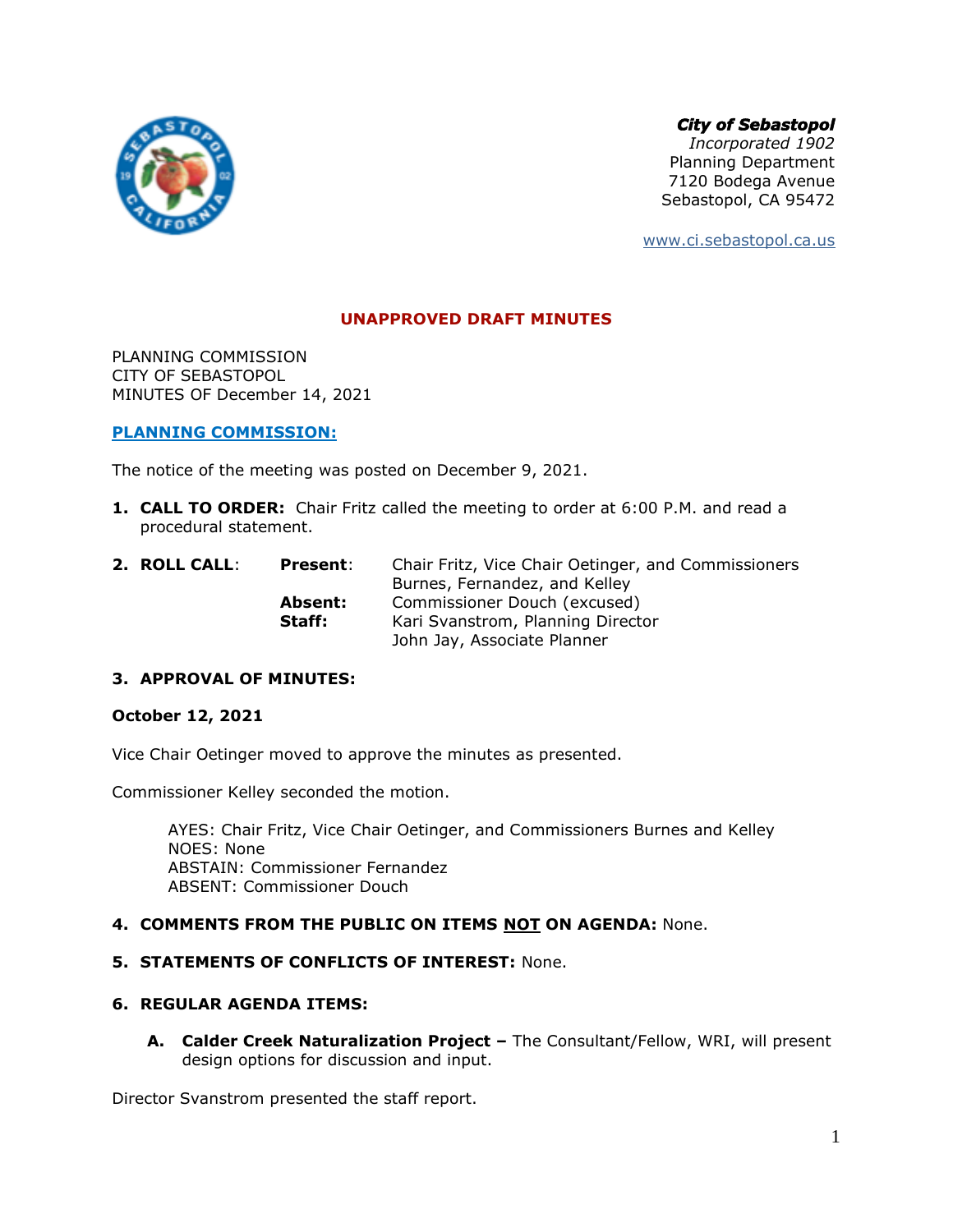

*City of Sebastopol*

*Incorporated 1902* Planning Department 7120 Bodega Avenue Sebastopol, CA 95472

[www.ci.sebastopol.ca.us](http://www.ci.sebastopol.ca.us/)

## **UNAPPROVED DRAFT MINUTES**

PLANNING COMMISSION CITY OF SEBASTOPOL MINUTES OF December 14, 2021

### **PLANNING COMMISSION:**

The notice of the meeting was posted on December 9, 2021.

- **1. CALL TO ORDER:** Chair Fritz called the meeting to order at 6:00 P.M. and read a procedural statement.
- **2. ROLL CALL**: **Present**: Chair Fritz, Vice Chair Oetinger, and Commissioners Burnes, Fernandez, and Kelley **Absent:** Commissioner Douch (excused) **Staff:** Kari Svanstrom, Planning Director John Jay, Associate Planner

## **3. APPROVAL OF MINUTES:**

#### **October 12, 2021**

Vice Chair Oetinger moved to approve the minutes as presented.

Commissioner Kelley seconded the motion.

AYES: Chair Fritz, Vice Chair Oetinger, and Commissioners Burnes and Kelley NOES: None ABSTAIN: Commissioner Fernandez ABSENT: Commissioner Douch

### **4. COMMENTS FROM THE PUBLIC ON ITEMS NOT ON AGENDA:** None.

## **5. STATEMENTS OF CONFLICTS OF INTEREST:** None.

### **6. REGULAR AGENDA ITEMS:**

**A. Calder Creek Naturalization Project –** The Consultant/Fellow, WRI, will present design options for discussion and input.

Director Svanstrom presented the staff report.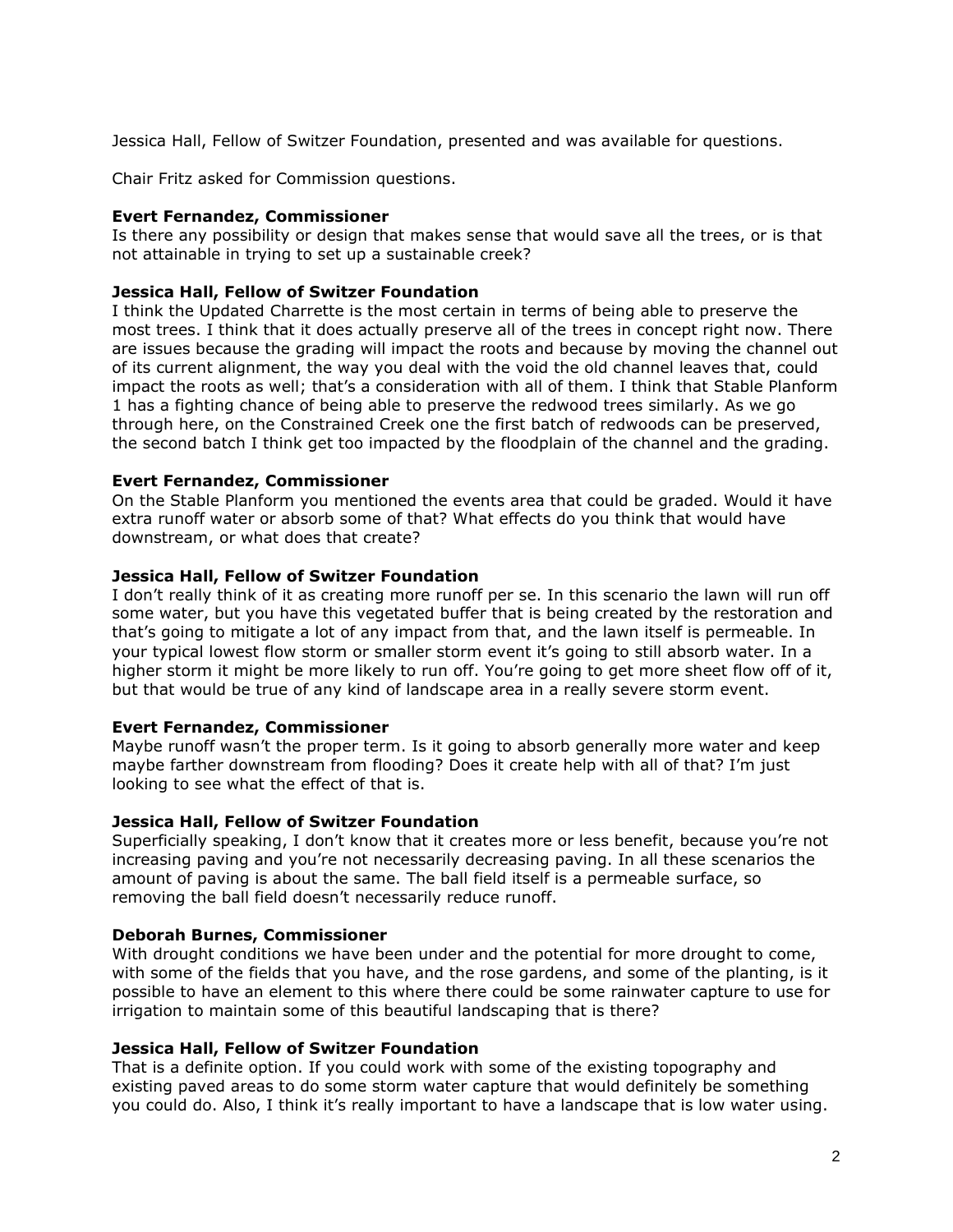Jessica Hall, Fellow of Switzer Foundation, presented and was available for questions.

Chair Fritz asked for Commission questions.

## **Evert Fernandez, Commissioner**

Is there any possibility or design that makes sense that would save all the trees, or is that not attainable in trying to set up a sustainable creek?

## **Jessica Hall, Fellow of Switzer Foundation**

I think the Updated Charrette is the most certain in terms of being able to preserve the most trees. I think that it does actually preserve all of the trees in concept right now. There are issues because the grading will impact the roots and because by moving the channel out of its current alignment, the way you deal with the void the old channel leaves that, could impact the roots as well; that's a consideration with all of them. I think that Stable Planform 1 has a fighting chance of being able to preserve the redwood trees similarly. As we go through here, on the Constrained Creek one the first batch of redwoods can be preserved, the second batch I think get too impacted by the floodplain of the channel and the grading.

### **Evert Fernandez, Commissioner**

On the Stable Planform you mentioned the events area that could be graded. Would it have extra runoff water or absorb some of that? What effects do you think that would have downstream, or what does that create?

### **Jessica Hall, Fellow of Switzer Foundation**

I don't really think of it as creating more runoff per se. In this scenario the lawn will run off some water, but you have this vegetated buffer that is being created by the restoration and that's going to mitigate a lot of any impact from that, and the lawn itself is permeable. In your typical lowest flow storm or smaller storm event it's going to still absorb water. In a higher storm it might be more likely to run off. You're going to get more sheet flow off of it, but that would be true of any kind of landscape area in a really severe storm event.

#### **Evert Fernandez, Commissioner**

Maybe runoff wasn't the proper term. Is it going to absorb generally more water and keep maybe farther downstream from flooding? Does it create help with all of that? I'm just looking to see what the effect of that is.

#### **Jessica Hall, Fellow of Switzer Foundation**

Superficially speaking, I don't know that it creates more or less benefit, because you're not increasing paving and you're not necessarily decreasing paving. In all these scenarios the amount of paving is about the same. The ball field itself is a permeable surface, so removing the ball field doesn't necessarily reduce runoff.

## **Deborah Burnes, Commissioner**

With drought conditions we have been under and the potential for more drought to come, with some of the fields that you have, and the rose gardens, and some of the planting, is it possible to have an element to this where there could be some rainwater capture to use for irrigation to maintain some of this beautiful landscaping that is there?

## **Jessica Hall, Fellow of Switzer Foundation**

That is a definite option. If you could work with some of the existing topography and existing paved areas to do some storm water capture that would definitely be something you could do. Also, I think it's really important to have a landscape that is low water using.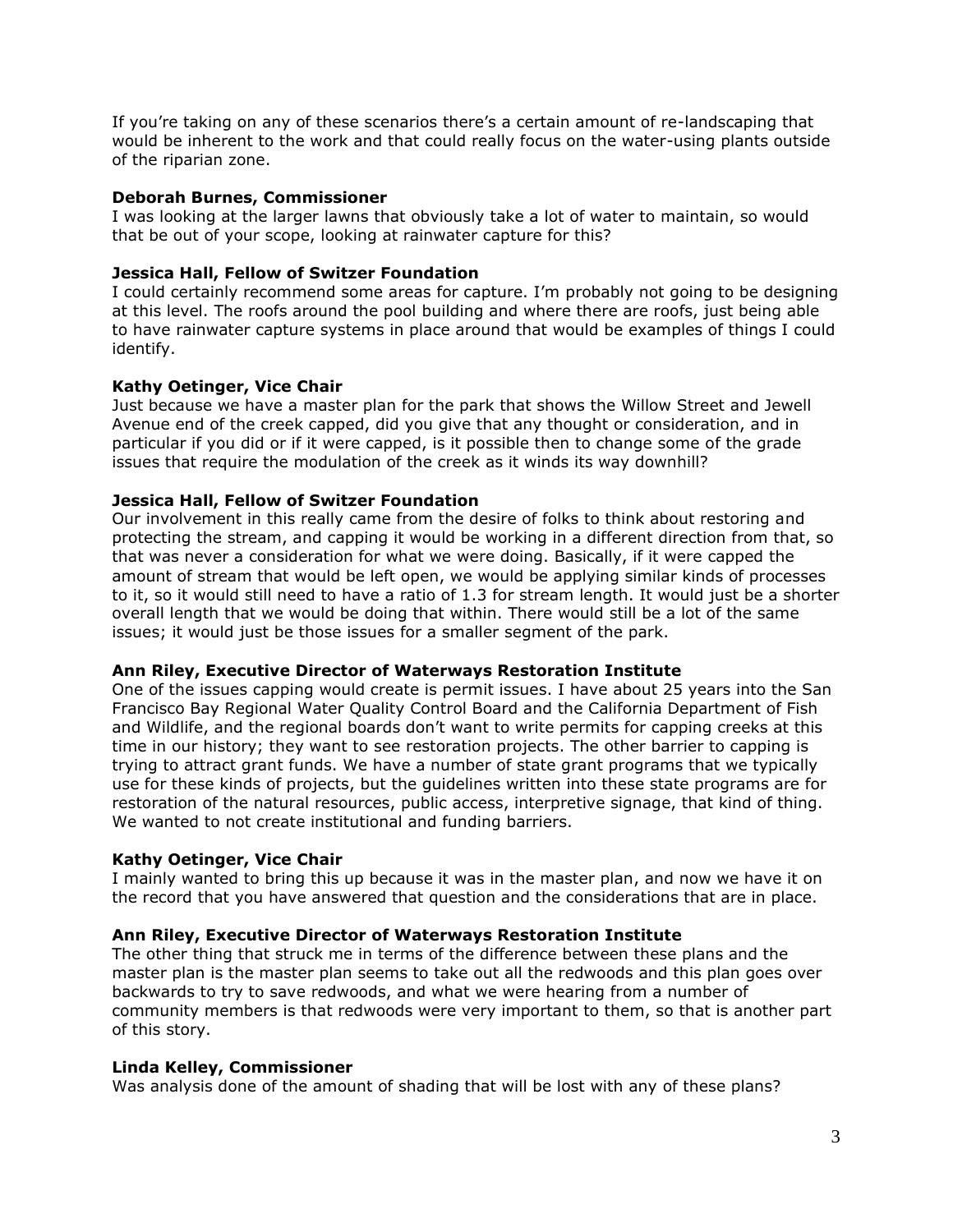If you're taking on any of these scenarios there's a certain amount of re-landscaping that would be inherent to the work and that could really focus on the water-using plants outside of the riparian zone.

## **Deborah Burnes, Commissioner**

I was looking at the larger lawns that obviously take a lot of water to maintain, so would that be out of your scope, looking at rainwater capture for this?

# **Jessica Hall, Fellow of Switzer Foundation**

I could certainly recommend some areas for capture. I'm probably not going to be designing at this level. The roofs around the pool building and where there are roofs, just being able to have rainwater capture systems in place around that would be examples of things I could identify.

## **Kathy Oetinger, Vice Chair**

Just because we have a master plan for the park that shows the Willow Street and Jewell Avenue end of the creek capped, did you give that any thought or consideration, and in particular if you did or if it were capped, is it possible then to change some of the grade issues that require the modulation of the creek as it winds its way downhill?

# **Jessica Hall, Fellow of Switzer Foundation**

Our involvement in this really came from the desire of folks to think about restoring and protecting the stream, and capping it would be working in a different direction from that, so that was never a consideration for what we were doing. Basically, if it were capped the amount of stream that would be left open, we would be applying similar kinds of processes to it, so it would still need to have a ratio of 1.3 for stream length. It would just be a shorter overall length that we would be doing that within. There would still be a lot of the same issues; it would just be those issues for a smaller segment of the park.

## **Ann Riley, Executive Director of Waterways Restoration Institute**

One of the issues capping would create is permit issues. I have about 25 years into the San Francisco Bay Regional Water Quality Control Board and the California Department of Fish and Wildlife, and the regional boards don't want to write permits for capping creeks at this time in our history; they want to see restoration projects. The other barrier to capping is trying to attract grant funds. We have a number of state grant programs that we typically use for these kinds of projects, but the guidelines written into these state programs are for restoration of the natural resources, public access, interpretive signage, that kind of thing. We wanted to not create institutional and funding barriers.

## **Kathy Oetinger, Vice Chair**

I mainly wanted to bring this up because it was in the master plan, and now we have it on the record that you have answered that question and the considerations that are in place.

## **Ann Riley, Executive Director of Waterways Restoration Institute**

The other thing that struck me in terms of the difference between these plans and the master plan is the master plan seems to take out all the redwoods and this plan goes over backwards to try to save redwoods, and what we were hearing from a number of community members is that redwoods were very important to them, so that is another part of this story.

## **Linda Kelley, Commissioner**

Was analysis done of the amount of shading that will be lost with any of these plans?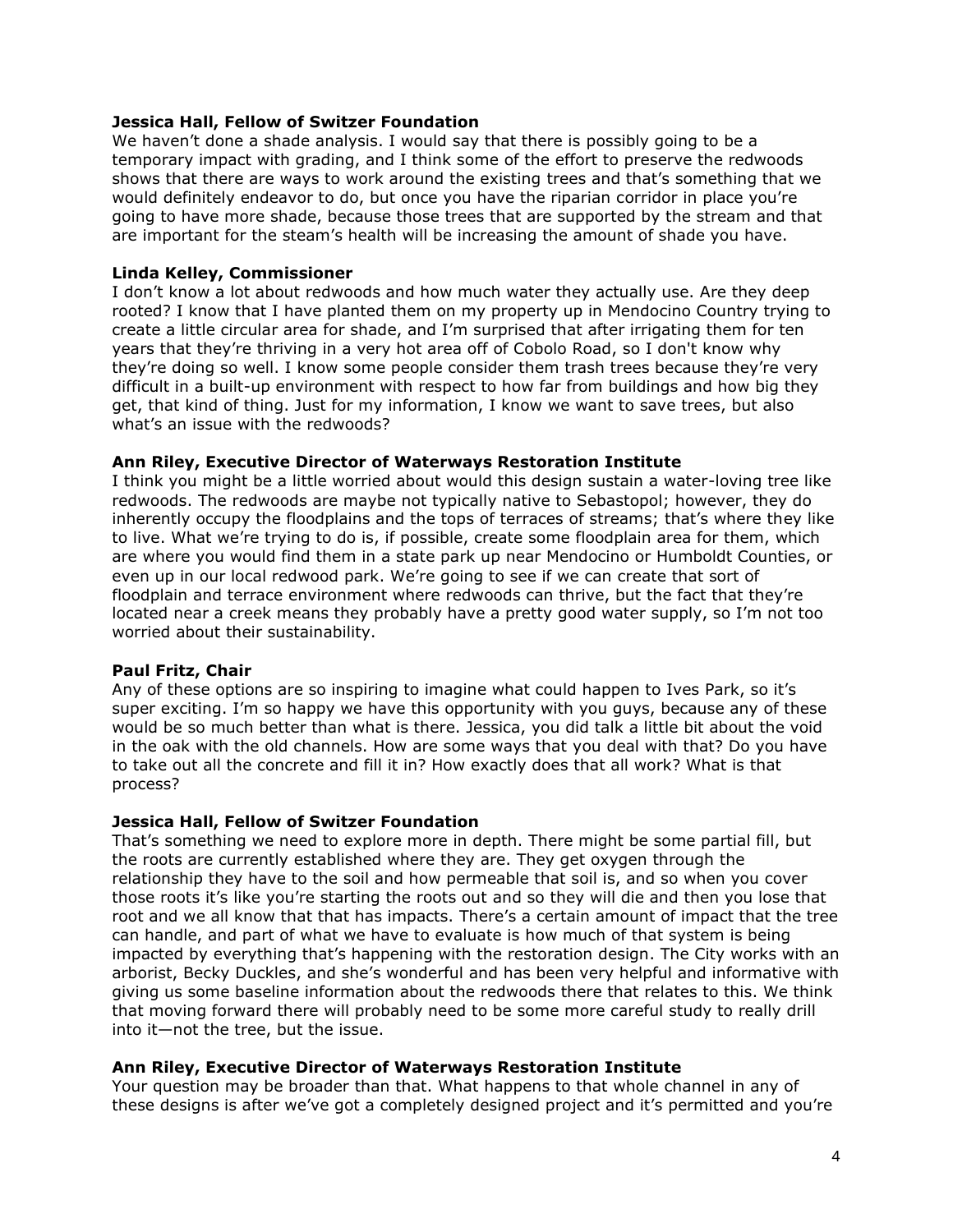## **Jessica Hall, Fellow of Switzer Foundation**

We haven't done a shade analysis. I would say that there is possibly going to be a temporary impact with grading, and I think some of the effort to preserve the redwoods shows that there are ways to work around the existing trees and that's something that we would definitely endeavor to do, but once you have the riparian corridor in place you're going to have more shade, because those trees that are supported by the stream and that are important for the steam's health will be increasing the amount of shade you have.

## **Linda Kelley, Commissioner**

I don't know a lot about redwoods and how much water they actually use. Are they deep rooted? I know that I have planted them on my property up in Mendocino Country trying to create a little circular area for shade, and I'm surprised that after irrigating them for ten years that they're thriving in a very hot area off of Cobolo Road, so I don't know why they're doing so well. I know some people consider them trash trees because they're very difficult in a built-up environment with respect to how far from buildings and how big they get, that kind of thing. Just for my information, I know we want to save trees, but also what's an issue with the redwoods?

### **Ann Riley, Executive Director of Waterways Restoration Institute**

I think you might be a little worried about would this design sustain a water-loving tree like redwoods. The redwoods are maybe not typically native to Sebastopol; however, they do inherently occupy the floodplains and the tops of terraces of streams; that's where they like to live. What we're trying to do is, if possible, create some floodplain area for them, which are where you would find them in a state park up near Mendocino or Humboldt Counties, or even up in our local redwood park. We're going to see if we can create that sort of floodplain and terrace environment where redwoods can thrive, but the fact that they're located near a creek means they probably have a pretty good water supply, so I'm not too worried about their sustainability.

#### **Paul Fritz, Chair**

Any of these options are so inspiring to imagine what could happen to Ives Park, so it's super exciting. I'm so happy we have this opportunity with you guys, because any of these would be so much better than what is there. Jessica, you did talk a little bit about the void in the oak with the old channels. How are some ways that you deal with that? Do you have to take out all the concrete and fill it in? How exactly does that all work? What is that process?

#### **Jessica Hall, Fellow of Switzer Foundation**

That's something we need to explore more in depth. There might be some partial fill, but the roots are currently established where they are. They get oxygen through the relationship they have to the soil and how permeable that soil is, and so when you cover those roots it's like you're starting the roots out and so they will die and then you lose that root and we all know that that has impacts. There's a certain amount of impact that the tree can handle, and part of what we have to evaluate is how much of that system is being impacted by everything that's happening with the restoration design. The City works with an arborist, Becky Duckles, and she's wonderful and has been very helpful and informative with giving us some baseline information about the redwoods there that relates to this. We think that moving forward there will probably need to be some more careful study to really drill into it—not the tree, but the issue.

#### **Ann Riley, Executive Director of Waterways Restoration Institute**

Your question may be broader than that. What happens to that whole channel in any of these designs is after we've got a completely designed project and it's permitted and you're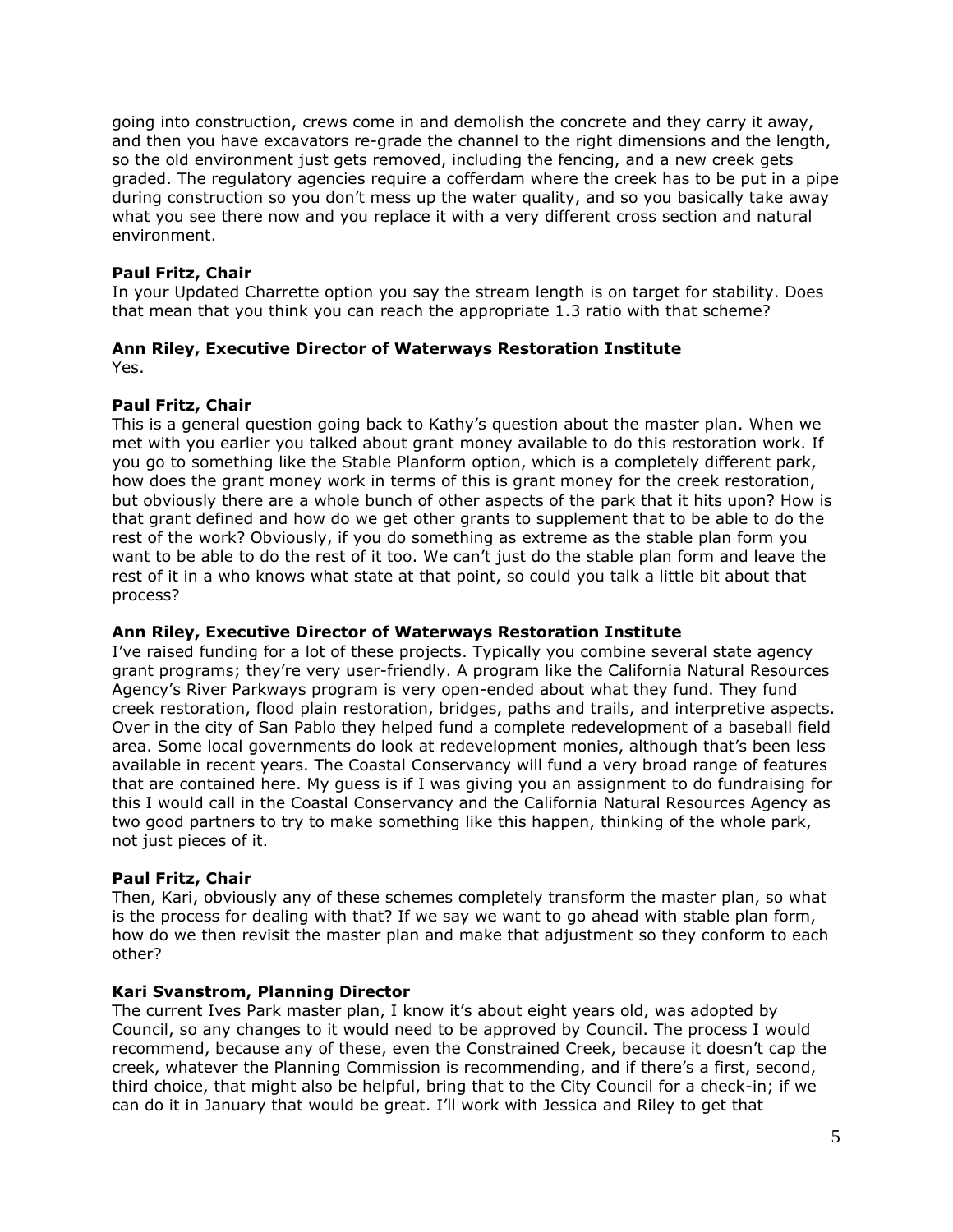going into construction, crews come in and demolish the concrete and they carry it away, and then you have excavators re-grade the channel to the right dimensions and the length, so the old environment just gets removed, including the fencing, and a new creek gets graded. The regulatory agencies require a cofferdam where the creek has to be put in a pipe during construction so you don't mess up the water quality, and so you basically take away what you see there now and you replace it with a very different cross section and natural environment.

# **Paul Fritz, Chair**

In your Updated Charrette option you say the stream length is on target for stability. Does that mean that you think you can reach the appropriate 1.3 ratio with that scheme?

## **Ann Riley, Executive Director of Waterways Restoration Institute** Yes.

# **Paul Fritz, Chair**

This is a general question going back to Kathy's question about the master plan. When we met with you earlier you talked about grant money available to do this restoration work. If you go to something like the Stable Planform option, which is a completely different park, how does the grant money work in terms of this is grant money for the creek restoration, but obviously there are a whole bunch of other aspects of the park that it hits upon? How is that grant defined and how do we get other grants to supplement that to be able to do the rest of the work? Obviously, if you do something as extreme as the stable plan form you want to be able to do the rest of it too. We can't just do the stable plan form and leave the rest of it in a who knows what state at that point, so could you talk a little bit about that process?

## **Ann Riley, Executive Director of Waterways Restoration Institute**

I've raised funding for a lot of these projects. Typically you combine several state agency grant programs; they're very user-friendly. A program like the California Natural Resources Agency's River Parkways program is very open-ended about what they fund. They fund creek restoration, flood plain restoration, bridges, paths and trails, and interpretive aspects. Over in the city of San Pablo they helped fund a complete redevelopment of a baseball field area. Some local governments do look at redevelopment monies, although that's been less available in recent years. The Coastal Conservancy will fund a very broad range of features that are contained here. My guess is if I was giving you an assignment to do fundraising for this I would call in the Coastal Conservancy and the California Natural Resources Agency as two good partners to try to make something like this happen, thinking of the whole park, not just pieces of it.

## **Paul Fritz, Chair**

Then, Kari, obviously any of these schemes completely transform the master plan, so what is the process for dealing with that? If we say we want to go ahead with stable plan form, how do we then revisit the master plan and make that adjustment so they conform to each other?

## **Kari Svanstrom, Planning Director**

The current Ives Park master plan, I know it's about eight years old, was adopted by Council, so any changes to it would need to be approved by Council. The process I would recommend, because any of these, even the Constrained Creek, because it doesn't cap the creek, whatever the Planning Commission is recommending, and if there's a first, second, third choice, that might also be helpful, bring that to the City Council for a check-in; if we can do it in January that would be great. I'll work with Jessica and Riley to get that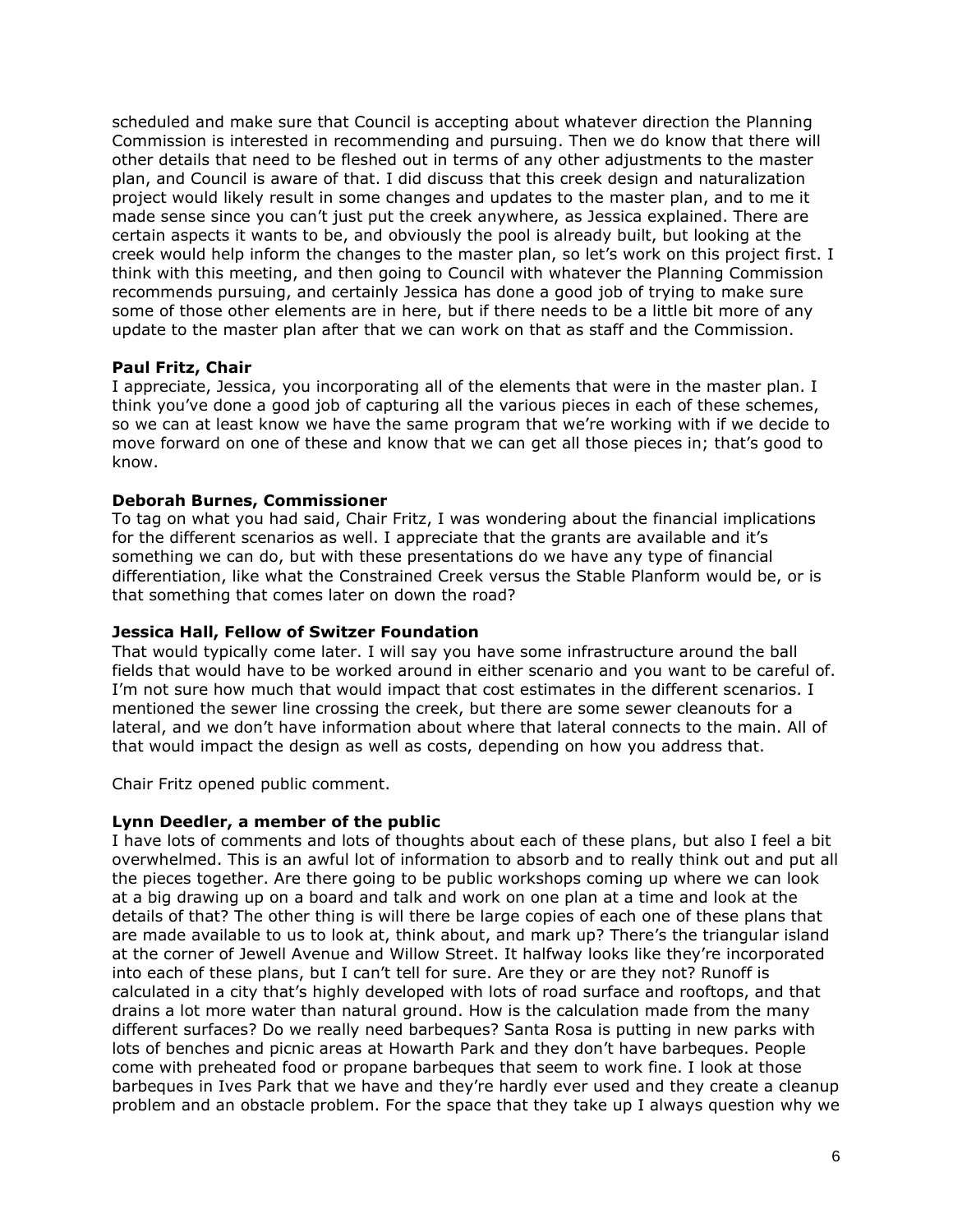scheduled and make sure that Council is accepting about whatever direction the Planning Commission is interested in recommending and pursuing. Then we do know that there will other details that need to be fleshed out in terms of any other adjustments to the master plan, and Council is aware of that. I did discuss that this creek design and naturalization project would likely result in some changes and updates to the master plan, and to me it made sense since you can't just put the creek anywhere, as Jessica explained. There are certain aspects it wants to be, and obviously the pool is already built, but looking at the creek would help inform the changes to the master plan, so let's work on this project first. I think with this meeting, and then going to Council with whatever the Planning Commission recommends pursuing, and certainly Jessica has done a good job of trying to make sure some of those other elements are in here, but if there needs to be a little bit more of any update to the master plan after that we can work on that as staff and the Commission.

## **Paul Fritz, Chair**

I appreciate, Jessica, you incorporating all of the elements that were in the master plan. I think you've done a good job of capturing all the various pieces in each of these schemes, so we can at least know we have the same program that we're working with if we decide to move forward on one of these and know that we can get all those pieces in; that's good to know.

## **Deborah Burnes, Commissioner**

To tag on what you had said, Chair Fritz, I was wondering about the financial implications for the different scenarios as well. I appreciate that the grants are available and it's something we can do, but with these presentations do we have any type of financial differentiation, like what the Constrained Creek versus the Stable Planform would be, or is that something that comes later on down the road?

## **Jessica Hall, Fellow of Switzer Foundation**

That would typically come later. I will say you have some infrastructure around the ball fields that would have to be worked around in either scenario and you want to be careful of. I'm not sure how much that would impact that cost estimates in the different scenarios. I mentioned the sewer line crossing the creek, but there are some sewer cleanouts for a lateral, and we don't have information about where that lateral connects to the main. All of that would impact the design as well as costs, depending on how you address that.

Chair Fritz opened public comment.

#### **Lynn Deedler, a member of the public**

I have lots of comments and lots of thoughts about each of these plans, but also I feel a bit overwhelmed. This is an awful lot of information to absorb and to really think out and put all the pieces together. Are there going to be public workshops coming up where we can look at a big drawing up on a board and talk and work on one plan at a time and look at the details of that? The other thing is will there be large copies of each one of these plans that are made available to us to look at, think about, and mark up? There's the triangular island at the corner of Jewell Avenue and Willow Street. It halfway looks like they're incorporated into each of these plans, but I can't tell for sure. Are they or are they not? Runoff is calculated in a city that's highly developed with lots of road surface and rooftops, and that drains a lot more water than natural ground. How is the calculation made from the many different surfaces? Do we really need barbeques? Santa Rosa is putting in new parks with lots of benches and picnic areas at Howarth Park and they don't have barbeques. People come with preheated food or propane barbeques that seem to work fine. I look at those barbeques in Ives Park that we have and they're hardly ever used and they create a cleanup problem and an obstacle problem. For the space that they take up I always question why we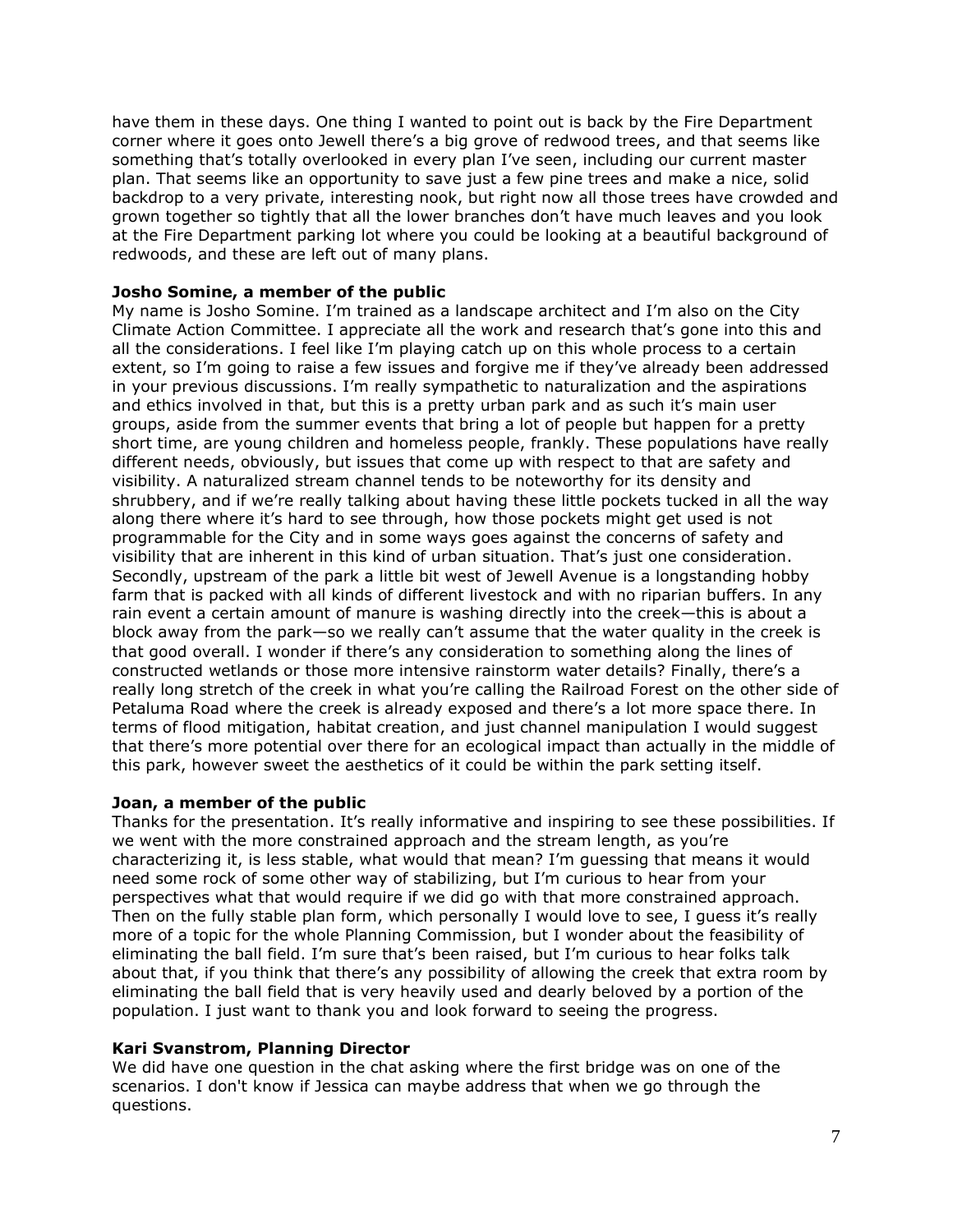have them in these days. One thing I wanted to point out is back by the Fire Department corner where it goes onto Jewell there's a big grove of redwood trees, and that seems like something that's totally overlooked in every plan I've seen, including our current master plan. That seems like an opportunity to save just a few pine trees and make a nice, solid backdrop to a very private, interesting nook, but right now all those trees have crowded and grown together so tightly that all the lower branches don't have much leaves and you look at the Fire Department parking lot where you could be looking at a beautiful background of redwoods, and these are left out of many plans.

## **Josho Somine, a member of the public**

My name is Josho Somine. I'm trained as a landscape architect and I'm also on the City Climate Action Committee. I appreciate all the work and research that's gone into this and all the considerations. I feel like I'm playing catch up on this whole process to a certain extent, so I'm going to raise a few issues and forgive me if they've already been addressed in your previous discussions. I'm really sympathetic to naturalization and the aspirations and ethics involved in that, but this is a pretty urban park and as such it's main user groups, aside from the summer events that bring a lot of people but happen for a pretty short time, are young children and homeless people, frankly. These populations have really different needs, obviously, but issues that come up with respect to that are safety and visibility. A naturalized stream channel tends to be noteworthy for its density and shrubbery, and if we're really talking about having these little pockets tucked in all the way along there where it's hard to see through, how those pockets might get used is not programmable for the City and in some ways goes against the concerns of safety and visibility that are inherent in this kind of urban situation. That's just one consideration. Secondly, upstream of the park a little bit west of Jewell Avenue is a longstanding hobby farm that is packed with all kinds of different livestock and with no riparian buffers. In any rain event a certain amount of manure is washing directly into the creek—this is about a block away from the park—so we really can't assume that the water quality in the creek is that good overall. I wonder if there's any consideration to something along the lines of constructed wetlands or those more intensive rainstorm water details? Finally, there's a really long stretch of the creek in what you're calling the Railroad Forest on the other side of Petaluma Road where the creek is already exposed and there's a lot more space there. In terms of flood mitigation, habitat creation, and just channel manipulation I would suggest that there's more potential over there for an ecological impact than actually in the middle of this park, however sweet the aesthetics of it could be within the park setting itself.

## **Joan, a member of the public**

Thanks for the presentation. It's really informative and inspiring to see these possibilities. If we went with the more constrained approach and the stream length, as you're characterizing it, is less stable, what would that mean? I'm guessing that means it would need some rock of some other way of stabilizing, but I'm curious to hear from your perspectives what that would require if we did go with that more constrained approach. Then on the fully stable plan form, which personally I would love to see, I guess it's really more of a topic for the whole Planning Commission, but I wonder about the feasibility of eliminating the ball field. I'm sure that's been raised, but I'm curious to hear folks talk about that, if you think that there's any possibility of allowing the creek that extra room by eliminating the ball field that is very heavily used and dearly beloved by a portion of the population. I just want to thank you and look forward to seeing the progress.

## **Kari Svanstrom, Planning Director**

We did have one question in the chat asking where the first bridge was on one of the scenarios. I don't know if Jessica can maybe address that when we go through the questions.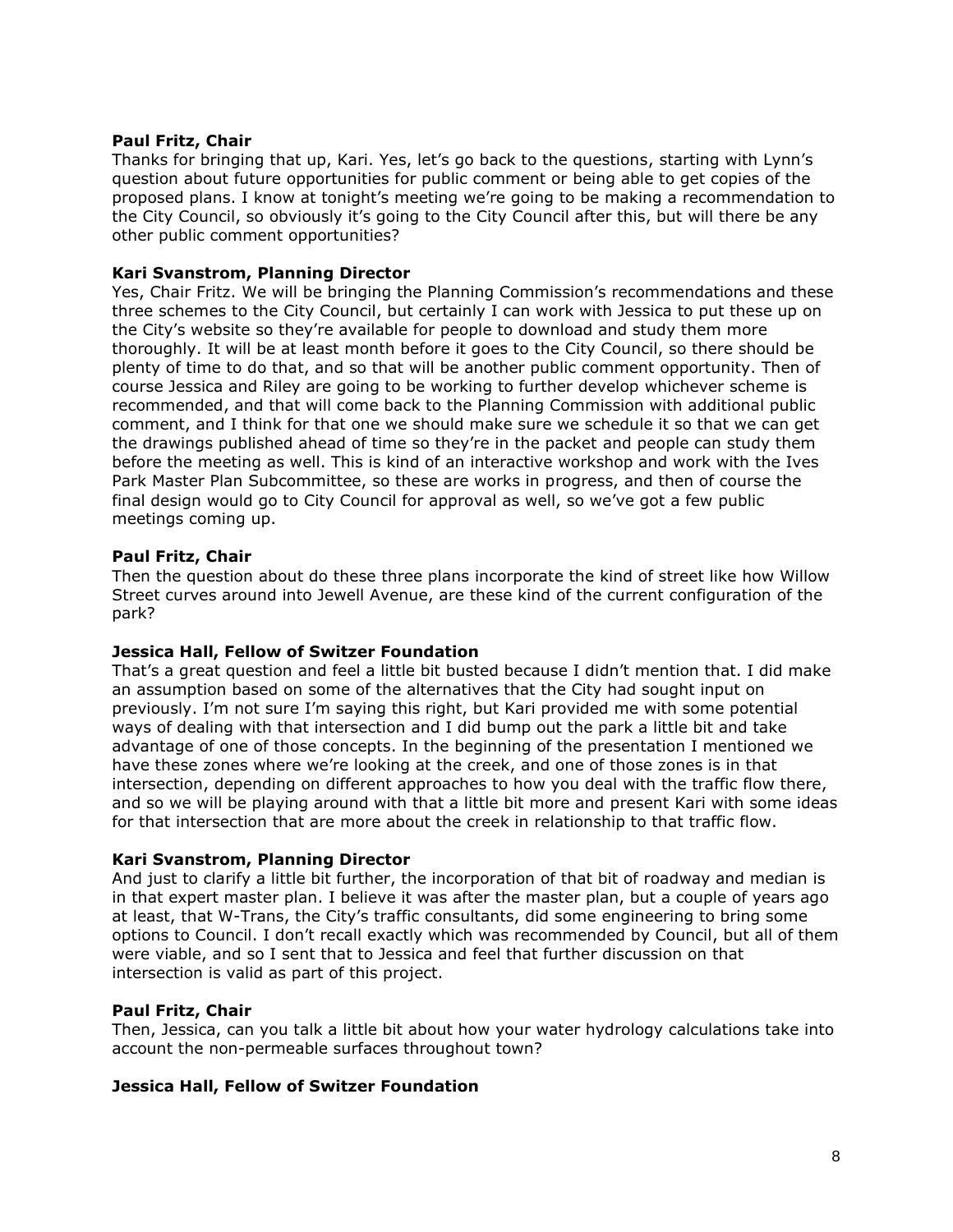## **Paul Fritz, Chair**

Thanks for bringing that up, Kari. Yes, let's go back to the questions, starting with Lynn's question about future opportunities for public comment or being able to get copies of the proposed plans. I know at tonight's meeting we're going to be making a recommendation to the City Council, so obviously it's going to the City Council after this, but will there be any other public comment opportunities?

## **Kari Svanstrom, Planning Director**

Yes, Chair Fritz. We will be bringing the Planning Commission's recommendations and these three schemes to the City Council, but certainly I can work with Jessica to put these up on the City's website so they're available for people to download and study them more thoroughly. It will be at least month before it goes to the City Council, so there should be plenty of time to do that, and so that will be another public comment opportunity. Then of course Jessica and Riley are going to be working to further develop whichever scheme is recommended, and that will come back to the Planning Commission with additional public comment, and I think for that one we should make sure we schedule it so that we can get the drawings published ahead of time so they're in the packet and people can study them before the meeting as well. This is kind of an interactive workshop and work with the Ives Park Master Plan Subcommittee, so these are works in progress, and then of course the final design would go to City Council for approval as well, so we've got a few public meetings coming up.

## **Paul Fritz, Chair**

Then the question about do these three plans incorporate the kind of street like how Willow Street curves around into Jewell Avenue, are these kind of the current configuration of the park?

## **Jessica Hall, Fellow of Switzer Foundation**

That's a great question and feel a little bit busted because I didn't mention that. I did make an assumption based on some of the alternatives that the City had sought input on previously. I'm not sure I'm saying this right, but Kari provided me with some potential ways of dealing with that intersection and I did bump out the park a little bit and take advantage of one of those concepts. In the beginning of the presentation I mentioned we have these zones where we're looking at the creek, and one of those zones is in that intersection, depending on different approaches to how you deal with the traffic flow there, and so we will be playing around with that a little bit more and present Kari with some ideas for that intersection that are more about the creek in relationship to that traffic flow.

## **Kari Svanstrom, Planning Director**

And just to clarify a little bit further, the incorporation of that bit of roadway and median is in that expert master plan. I believe it was after the master plan, but a couple of years ago at least, that W-Trans, the City's traffic consultants, did some engineering to bring some options to Council. I don't recall exactly which was recommended by Council, but all of them were viable, and so I sent that to Jessica and feel that further discussion on that intersection is valid as part of this project.

## **Paul Fritz, Chair**

Then, Jessica, can you talk a little bit about how your water hydrology calculations take into account the non-permeable surfaces throughout town?

#### **Jessica Hall, Fellow of Switzer Foundation**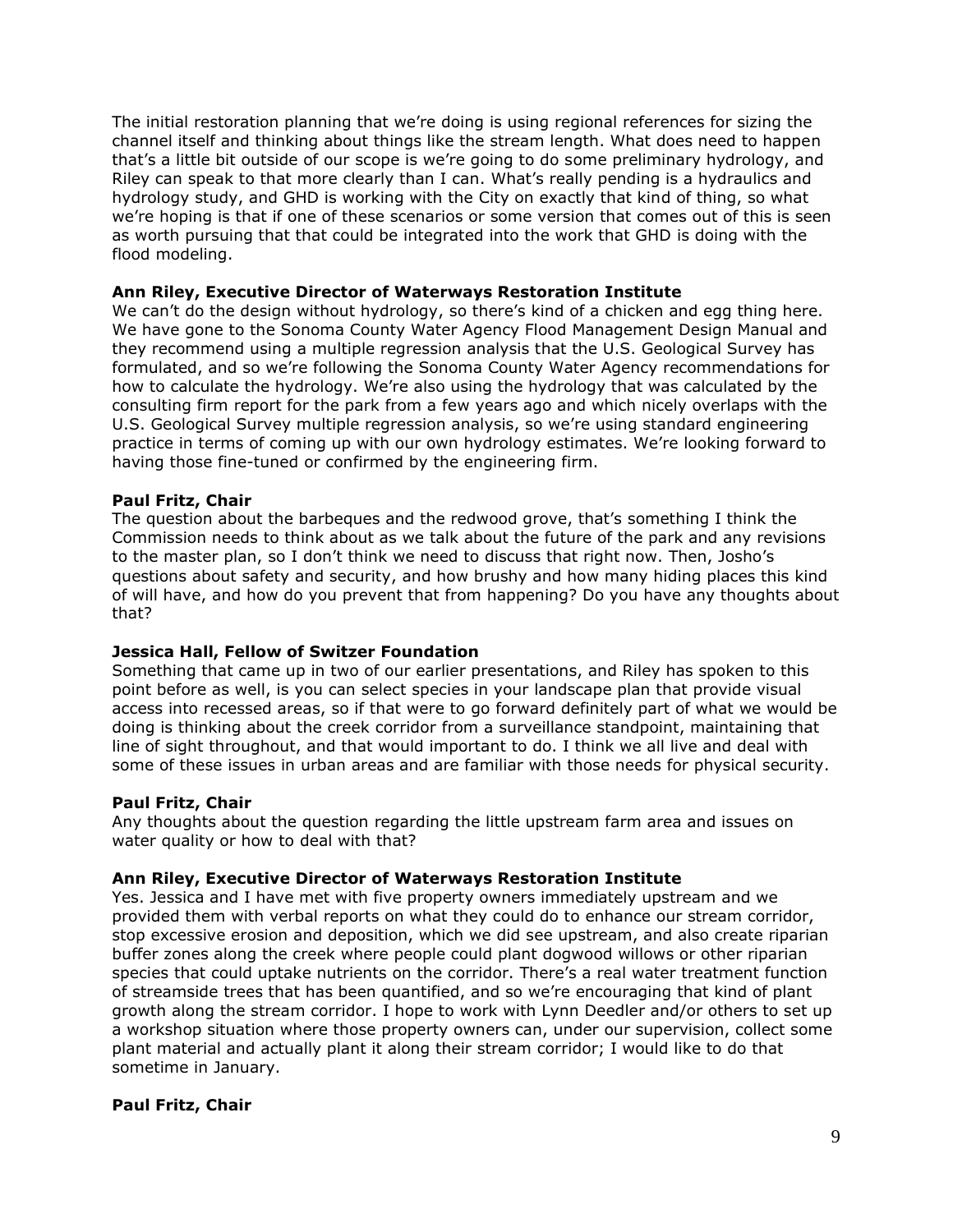The initial restoration planning that we're doing is using regional references for sizing the channel itself and thinking about things like the stream length. What does need to happen that's a little bit outside of our scope is we're going to do some preliminary hydrology, and Riley can speak to that more clearly than I can. What's really pending is a hydraulics and hydrology study, and GHD is working with the City on exactly that kind of thing, so what we're hoping is that if one of these scenarios or some version that comes out of this is seen as worth pursuing that that could be integrated into the work that GHD is doing with the flood modeling.

# **Ann Riley, Executive Director of Waterways Restoration Institute**

We can't do the design without hydrology, so there's kind of a chicken and egg thing here. We have gone to the Sonoma County Water Agency Flood Management Design Manual and they recommend using a multiple regression analysis that the U.S. Geological Survey has formulated, and so we're following the Sonoma County Water Agency recommendations for how to calculate the hydrology. We're also using the hydrology that was calculated by the consulting firm report for the park from a few years ago and which nicely overlaps with the U.S. Geological Survey multiple regression analysis, so we're using standard engineering practice in terms of coming up with our own hydrology estimates. We're looking forward to having those fine-tuned or confirmed by the engineering firm.

## **Paul Fritz, Chair**

The question about the barbeques and the redwood grove, that's something I think the Commission needs to think about as we talk about the future of the park and any revisions to the master plan, so I don't think we need to discuss that right now. Then, Josho's questions about safety and security, and how brushy and how many hiding places this kind of will have, and how do you prevent that from happening? Do you have any thoughts about that?

## **Jessica Hall, Fellow of Switzer Foundation**

Something that came up in two of our earlier presentations, and Riley has spoken to this point before as well, is you can select species in your landscape plan that provide visual access into recessed areas, so if that were to go forward definitely part of what we would be doing is thinking about the creek corridor from a surveillance standpoint, maintaining that line of sight throughout, and that would important to do. I think we all live and deal with some of these issues in urban areas and are familiar with those needs for physical security.

## **Paul Fritz, Chair**

Any thoughts about the question regarding the little upstream farm area and issues on water quality or how to deal with that?

## **Ann Riley, Executive Director of Waterways Restoration Institute**

Yes. Jessica and I have met with five property owners immediately upstream and we provided them with verbal reports on what they could do to enhance our stream corridor, stop excessive erosion and deposition, which we did see upstream, and also create riparian buffer zones along the creek where people could plant dogwood willows or other riparian species that could uptake nutrients on the corridor. There's a real water treatment function of streamside trees that has been quantified, and so we're encouraging that kind of plant growth along the stream corridor. I hope to work with Lynn Deedler and/or others to set up a workshop situation where those property owners can, under our supervision, collect some plant material and actually plant it along their stream corridor; I would like to do that sometime in January.

## **Paul Fritz, Chair**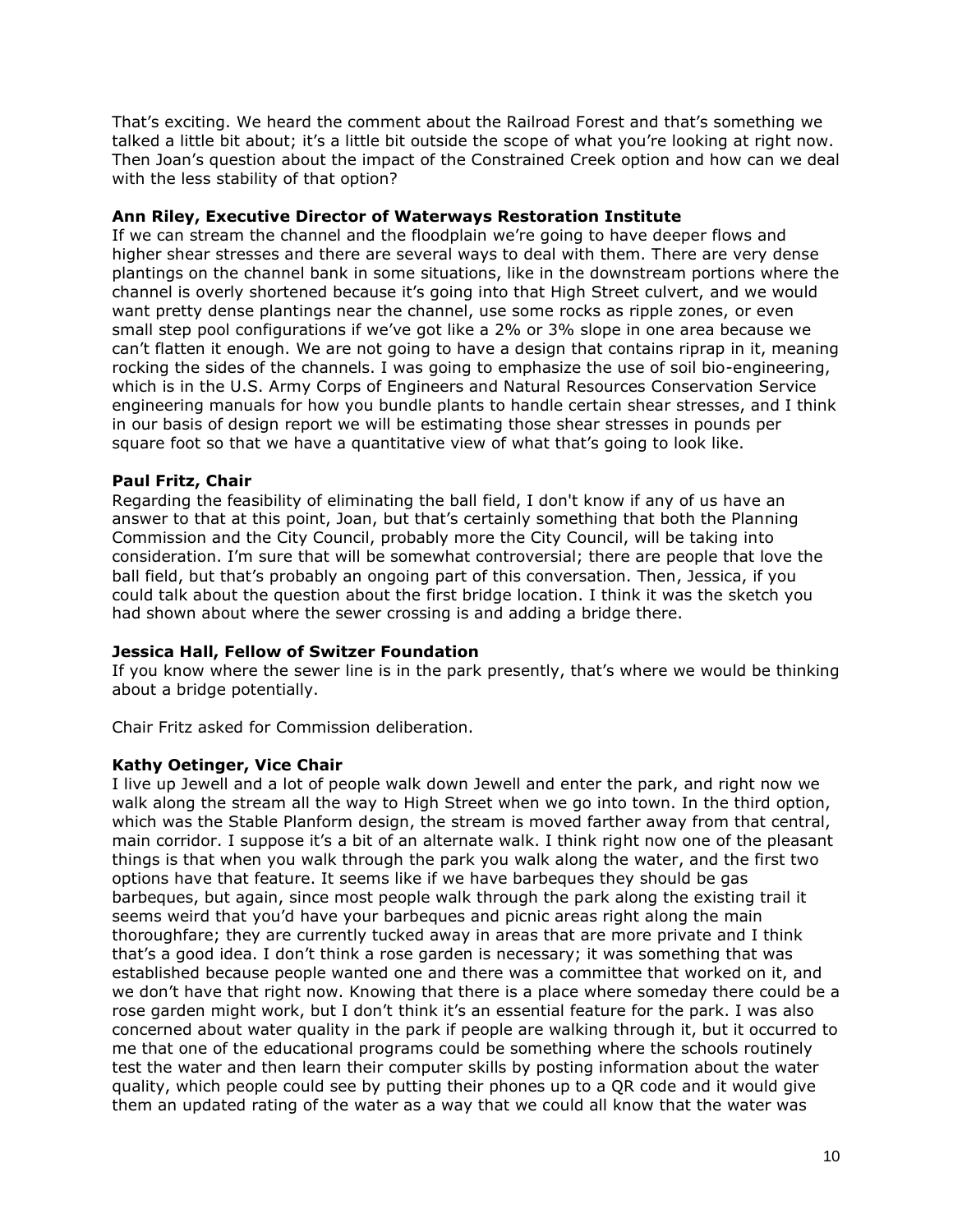That's exciting. We heard the comment about the Railroad Forest and that's something we talked a little bit about; it's a little bit outside the scope of what you're looking at right now. Then Joan's question about the impact of the Constrained Creek option and how can we deal with the less stability of that option?

# **Ann Riley, Executive Director of Waterways Restoration Institute**

If we can stream the channel and the floodplain we're going to have deeper flows and higher shear stresses and there are several ways to deal with them. There are very dense plantings on the channel bank in some situations, like in the downstream portions where the channel is overly shortened because it's going into that High Street culvert, and we would want pretty dense plantings near the channel, use some rocks as ripple zones, or even small step pool configurations if we've got like a 2% or 3% slope in one area because we can't flatten it enough. We are not going to have a design that contains riprap in it, meaning rocking the sides of the channels. I was going to emphasize the use of soil bio-engineering, which is in the U.S. Army Corps of Engineers and Natural Resources Conservation Service engineering manuals for how you bundle plants to handle certain shear stresses, and I think in our basis of design report we will be estimating those shear stresses in pounds per square foot so that we have a quantitative view of what that's going to look like.

# **Paul Fritz, Chair**

Regarding the feasibility of eliminating the ball field, I don't know if any of us have an answer to that at this point, Joan, but that's certainly something that both the Planning Commission and the City Council, probably more the City Council, will be taking into consideration. I'm sure that will be somewhat controversial; there are people that love the ball field, but that's probably an ongoing part of this conversation. Then, Jessica, if you could talk about the question about the first bridge location. I think it was the sketch you had shown about where the sewer crossing is and adding a bridge there.

## **Jessica Hall, Fellow of Switzer Foundation**

If you know where the sewer line is in the park presently, that's where we would be thinking about a bridge potentially.

Chair Fritz asked for Commission deliberation.

## **Kathy Oetinger, Vice Chair**

I live up Jewell and a lot of people walk down Jewell and enter the park, and right now we walk along the stream all the way to High Street when we go into town. In the third option, which was the Stable Planform design, the stream is moved farther away from that central, main corridor. I suppose it's a bit of an alternate walk. I think right now one of the pleasant things is that when you walk through the park you walk along the water, and the first two options have that feature. It seems like if we have barbeques they should be gas barbeques, but again, since most people walk through the park along the existing trail it seems weird that you'd have your barbeques and picnic areas right along the main thoroughfare; they are currently tucked away in areas that are more private and I think that's a good idea. I don't think a rose garden is necessary; it was something that was established because people wanted one and there was a committee that worked on it, and we don't have that right now. Knowing that there is a place where someday there could be a rose garden might work, but I don't think it's an essential feature for the park. I was also concerned about water quality in the park if people are walking through it, but it occurred to me that one of the educational programs could be something where the schools routinely test the water and then learn their computer skills by posting information about the water quality, which people could see by putting their phones up to a QR code and it would give them an updated rating of the water as a way that we could all know that the water was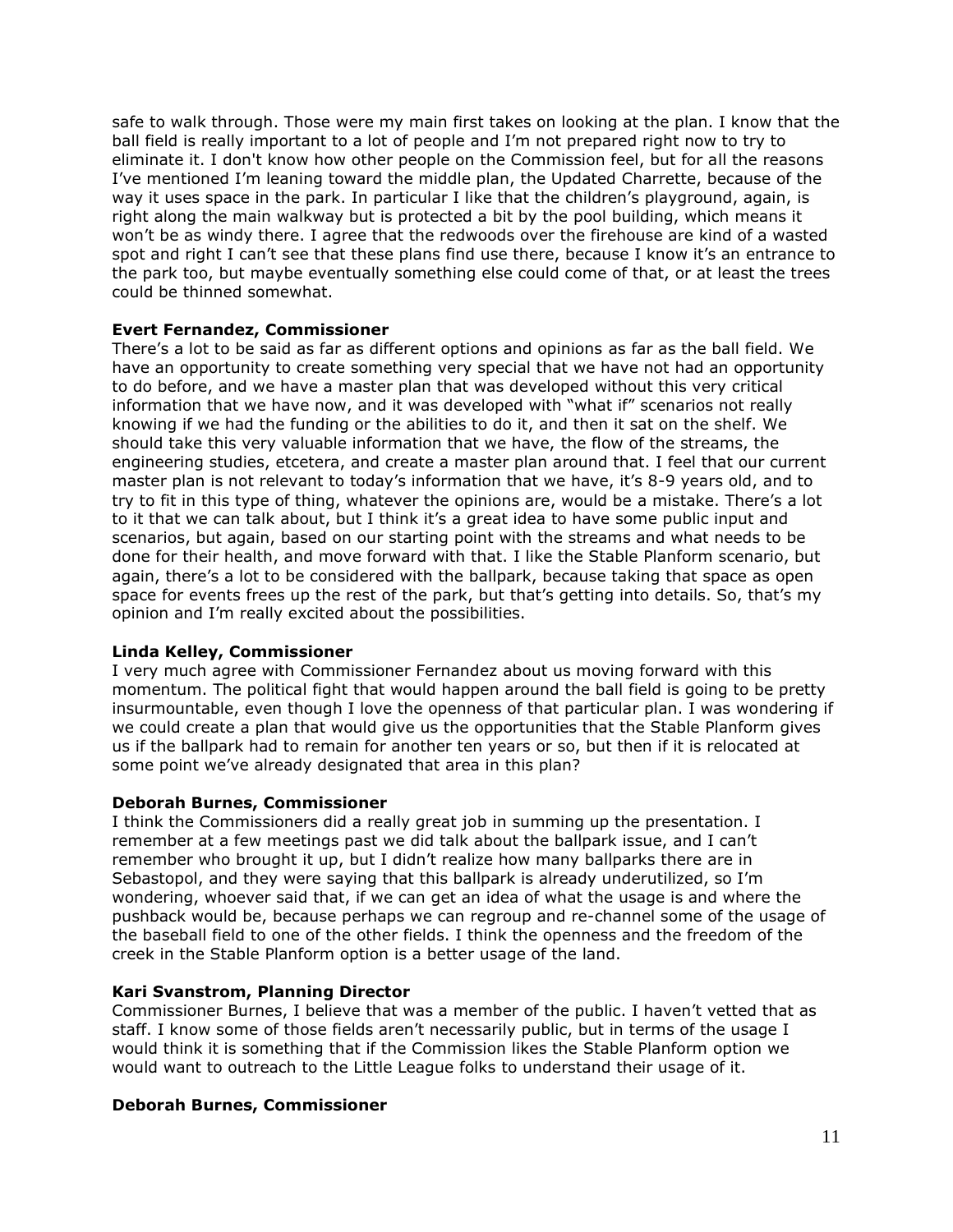safe to walk through. Those were my main first takes on looking at the plan. I know that the ball field is really important to a lot of people and I'm not prepared right now to try to eliminate it. I don't know how other people on the Commission feel, but for all the reasons I've mentioned I'm leaning toward the middle plan, the Updated Charrette, because of the way it uses space in the park. In particular I like that the children's playground, again, is right along the main walkway but is protected a bit by the pool building, which means it won't be as windy there. I agree that the redwoods over the firehouse are kind of a wasted spot and right I can't see that these plans find use there, because I know it's an entrance to the park too, but maybe eventually something else could come of that, or at least the trees could be thinned somewhat.

## **Evert Fernandez, Commissioner**

There's a lot to be said as far as different options and opinions as far as the ball field. We have an opportunity to create something very special that we have not had an opportunity to do before, and we have a master plan that was developed without this very critical information that we have now, and it was developed with "what if" scenarios not really knowing if we had the funding or the abilities to do it, and then it sat on the shelf. We should take this very valuable information that we have, the flow of the streams, the engineering studies, etcetera, and create a master plan around that. I feel that our current master plan is not relevant to today's information that we have, it's 8-9 years old, and to try to fit in this type of thing, whatever the opinions are, would be a mistake. There's a lot to it that we can talk about, but I think it's a great idea to have some public input and scenarios, but again, based on our starting point with the streams and what needs to be done for their health, and move forward with that. I like the Stable Planform scenario, but again, there's a lot to be considered with the ballpark, because taking that space as open space for events frees up the rest of the park, but that's getting into details. So, that's my opinion and I'm really excited about the possibilities.

## **Linda Kelley, Commissioner**

I very much agree with Commissioner Fernandez about us moving forward with this momentum. The political fight that would happen around the ball field is going to be pretty insurmountable, even though I love the openness of that particular plan. I was wondering if we could create a plan that would give us the opportunities that the Stable Planform gives us if the ballpark had to remain for another ten years or so, but then if it is relocated at some point we've already designated that area in this plan?

## **Deborah Burnes, Commissioner**

I think the Commissioners did a really great job in summing up the presentation. I remember at a few meetings past we did talk about the ballpark issue, and I can't remember who brought it up, but I didn't realize how many ballparks there are in Sebastopol, and they were saying that this ballpark is already underutilized, so I'm wondering, whoever said that, if we can get an idea of what the usage is and where the pushback would be, because perhaps we can regroup and re-channel some of the usage of the baseball field to one of the other fields. I think the openness and the freedom of the creek in the Stable Planform option is a better usage of the land.

# **Kari Svanstrom, Planning Director**

Commissioner Burnes, I believe that was a member of the public. I haven't vetted that as staff. I know some of those fields aren't necessarily public, but in terms of the usage I would think it is something that if the Commission likes the Stable Planform option we would want to outreach to the Little League folks to understand their usage of it.

## **Deborah Burnes, Commissioner**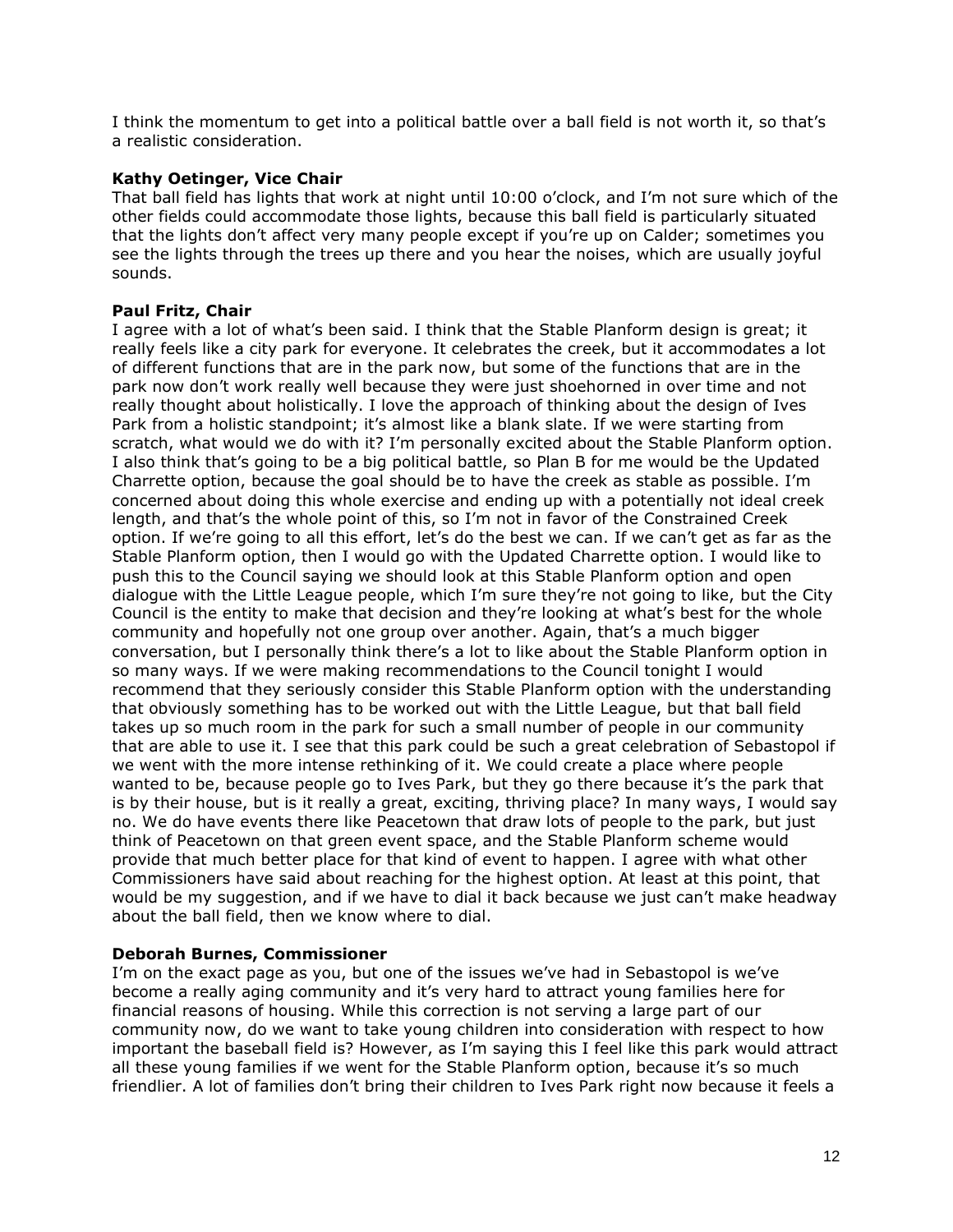I think the momentum to get into a political battle over a ball field is not worth it, so that's a realistic consideration.

# **Kathy Oetinger, Vice Chair**

That ball field has lights that work at night until 10:00 o'clock, and I'm not sure which of the other fields could accommodate those lights, because this ball field is particularly situated that the lights don't affect very many people except if you're up on Calder; sometimes you see the lights through the trees up there and you hear the noises, which are usually joyful sounds.

# **Paul Fritz, Chair**

I agree with a lot of what's been said. I think that the Stable Planform design is great; it really feels like a city park for everyone. It celebrates the creek, but it accommodates a lot of different functions that are in the park now, but some of the functions that are in the park now don't work really well because they were just shoehorned in over time and not really thought about holistically. I love the approach of thinking about the design of Ives Park from a holistic standpoint; it's almost like a blank slate. If we were starting from scratch, what would we do with it? I'm personally excited about the Stable Planform option. I also think that's going to be a big political battle, so Plan B for me would be the Updated Charrette option, because the goal should be to have the creek as stable as possible. I'm concerned about doing this whole exercise and ending up with a potentially not ideal creek length, and that's the whole point of this, so I'm not in favor of the Constrained Creek option. If we're going to all this effort, let's do the best we can. If we can't get as far as the Stable Planform option, then I would go with the Updated Charrette option. I would like to push this to the Council saying we should look at this Stable Planform option and open dialogue with the Little League people, which I'm sure they're not going to like, but the City Council is the entity to make that decision and they're looking at what's best for the whole community and hopefully not one group over another. Again, that's a much bigger conversation, but I personally think there's a lot to like about the Stable Planform option in so many ways. If we were making recommendations to the Council tonight I would recommend that they seriously consider this Stable Planform option with the understanding that obviously something has to be worked out with the Little League, but that ball field takes up so much room in the park for such a small number of people in our community that are able to use it. I see that this park could be such a great celebration of Sebastopol if we went with the more intense rethinking of it. We could create a place where people wanted to be, because people go to Ives Park, but they go there because it's the park that is by their house, but is it really a great, exciting, thriving place? In many ways, I would say no. We do have events there like Peacetown that draw lots of people to the park, but just think of Peacetown on that green event space, and the Stable Planform scheme would provide that much better place for that kind of event to happen. I agree with what other Commissioners have said about reaching for the highest option. At least at this point, that would be my suggestion, and if we have to dial it back because we just can't make headway about the ball field, then we know where to dial.

## **Deborah Burnes, Commissioner**

I'm on the exact page as you, but one of the issues we've had in Sebastopol is we've become a really aging community and it's very hard to attract young families here for financial reasons of housing. While this correction is not serving a large part of our community now, do we want to take young children into consideration with respect to how important the baseball field is? However, as I'm saying this I feel like this park would attract all these young families if we went for the Stable Planform option, because it's so much friendlier. A lot of families don't bring their children to Ives Park right now because it feels a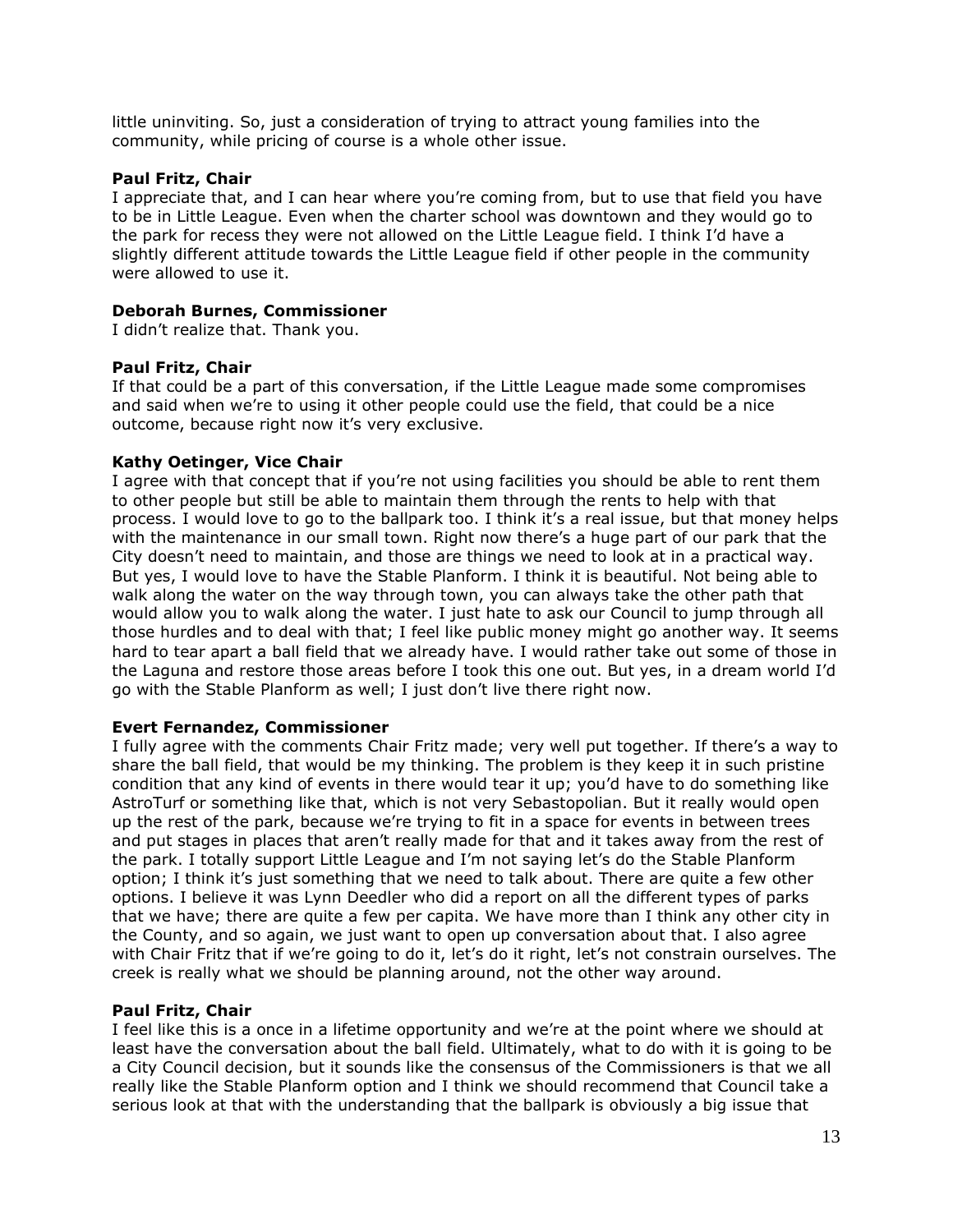little uninviting. So, just a consideration of trying to attract young families into the community, while pricing of course is a whole other issue.

## **Paul Fritz, Chair**

I appreciate that, and I can hear where you're coming from, but to use that field you have to be in Little League. Even when the charter school was downtown and they would go to the park for recess they were not allowed on the Little League field. I think I'd have a slightly different attitude towards the Little League field if other people in the community were allowed to use it.

# **Deborah Burnes, Commissioner**

I didn't realize that. Thank you.

# **Paul Fritz, Chair**

If that could be a part of this conversation, if the Little League made some compromises and said when we're to using it other people could use the field, that could be a nice outcome, because right now it's very exclusive.

# **Kathy Oetinger, Vice Chair**

I agree with that concept that if you're not using facilities you should be able to rent them to other people but still be able to maintain them through the rents to help with that process. I would love to go to the ballpark too. I think it's a real issue, but that money helps with the maintenance in our small town. Right now there's a huge part of our park that the City doesn't need to maintain, and those are things we need to look at in a practical way. But yes, I would love to have the Stable Planform. I think it is beautiful. Not being able to walk along the water on the way through town, you can always take the other path that would allow you to walk along the water. I just hate to ask our Council to jump through all those hurdles and to deal with that; I feel like public money might go another way. It seems hard to tear apart a ball field that we already have. I would rather take out some of those in the Laguna and restore those areas before I took this one out. But yes, in a dream world I'd go with the Stable Planform as well; I just don't live there right now.

## **Evert Fernandez, Commissioner**

I fully agree with the comments Chair Fritz made; very well put together. If there's a way to share the ball field, that would be my thinking. The problem is they keep it in such pristine condition that any kind of events in there would tear it up; you'd have to do something like AstroTurf or something like that, which is not very Sebastopolian. But it really would open up the rest of the park, because we're trying to fit in a space for events in between trees and put stages in places that aren't really made for that and it takes away from the rest of the park. I totally support Little League and I'm not saying let's do the Stable Planform option; I think it's just something that we need to talk about. There are quite a few other options. I believe it was Lynn Deedler who did a report on all the different types of parks that we have; there are quite a few per capita. We have more than I think any other city in the County, and so again, we just want to open up conversation about that. I also agree with Chair Fritz that if we're going to do it, let's do it right, let's not constrain ourselves. The creek is really what we should be planning around, not the other way around.

## **Paul Fritz, Chair**

I feel like this is a once in a lifetime opportunity and we're at the point where we should at least have the conversation about the ball field. Ultimately, what to do with it is going to be a City Council decision, but it sounds like the consensus of the Commissioners is that we all really like the Stable Planform option and I think we should recommend that Council take a serious look at that with the understanding that the ballpark is obviously a big issue that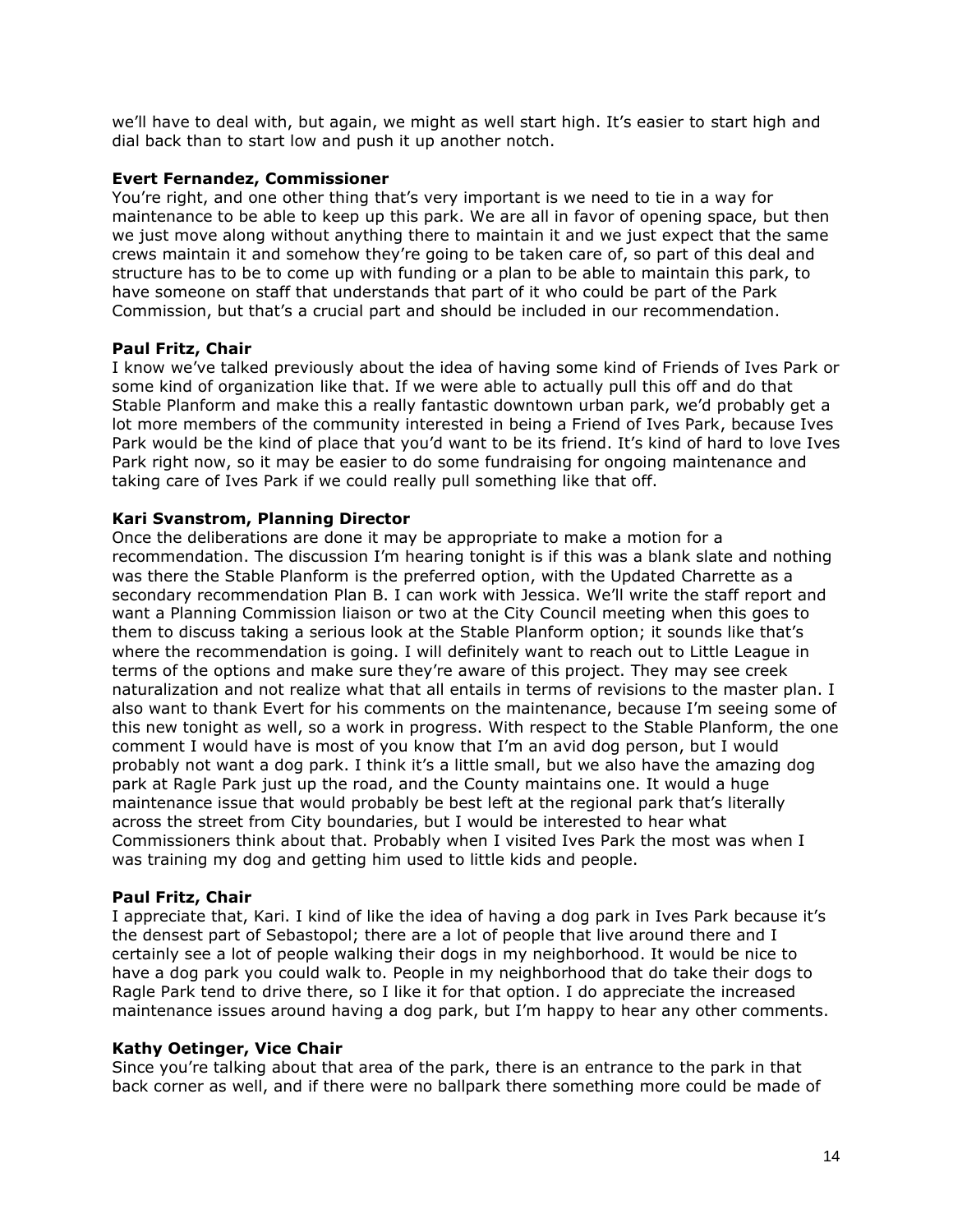we'll have to deal with, but again, we might as well start high. It's easier to start high and dial back than to start low and push it up another notch.

## **Evert Fernandez, Commissioner**

You're right, and one other thing that's very important is we need to tie in a way for maintenance to be able to keep up this park. We are all in favor of opening space, but then we just move along without anything there to maintain it and we just expect that the same crews maintain it and somehow they're going to be taken care of, so part of this deal and structure has to be to come up with funding or a plan to be able to maintain this park, to have someone on staff that understands that part of it who could be part of the Park Commission, but that's a crucial part and should be included in our recommendation.

# **Paul Fritz, Chair**

I know we've talked previously about the idea of having some kind of Friends of Ives Park or some kind of organization like that. If we were able to actually pull this off and do that Stable Planform and make this a really fantastic downtown urban park, we'd probably get a lot more members of the community interested in being a Friend of Ives Park, because Ives Park would be the kind of place that you'd want to be its friend. It's kind of hard to love Ives Park right now, so it may be easier to do some fundraising for ongoing maintenance and taking care of Ives Park if we could really pull something like that off.

# **Kari Svanstrom, Planning Director**

Once the deliberations are done it may be appropriate to make a motion for a recommendation. The discussion I'm hearing tonight is if this was a blank slate and nothing was there the Stable Planform is the preferred option, with the Updated Charrette as a secondary recommendation Plan B. I can work with Jessica. We'll write the staff report and want a Planning Commission liaison or two at the City Council meeting when this goes to them to discuss taking a serious look at the Stable Planform option; it sounds like that's where the recommendation is going. I will definitely want to reach out to Little League in terms of the options and make sure they're aware of this project. They may see creek naturalization and not realize what that all entails in terms of revisions to the master plan. I also want to thank Evert for his comments on the maintenance, because I'm seeing some of this new tonight as well, so a work in progress. With respect to the Stable Planform, the one comment I would have is most of you know that I'm an avid dog person, but I would probably not want a dog park. I think it's a little small, but we also have the amazing dog park at Ragle Park just up the road, and the County maintains one. It would a huge maintenance issue that would probably be best left at the regional park that's literally across the street from City boundaries, but I would be interested to hear what Commissioners think about that. Probably when I visited Ives Park the most was when I was training my dog and getting him used to little kids and people.

## **Paul Fritz, Chair**

I appreciate that, Kari. I kind of like the idea of having a dog park in Ives Park because it's the densest part of Sebastopol; there are a lot of people that live around there and I certainly see a lot of people walking their dogs in my neighborhood. It would be nice to have a dog park you could walk to. People in my neighborhood that do take their dogs to Ragle Park tend to drive there, so I like it for that option. I do appreciate the increased maintenance issues around having a dog park, but I'm happy to hear any other comments.

## **Kathy Oetinger, Vice Chair**

Since you're talking about that area of the park, there is an entrance to the park in that back corner as well, and if there were no ballpark there something more could be made of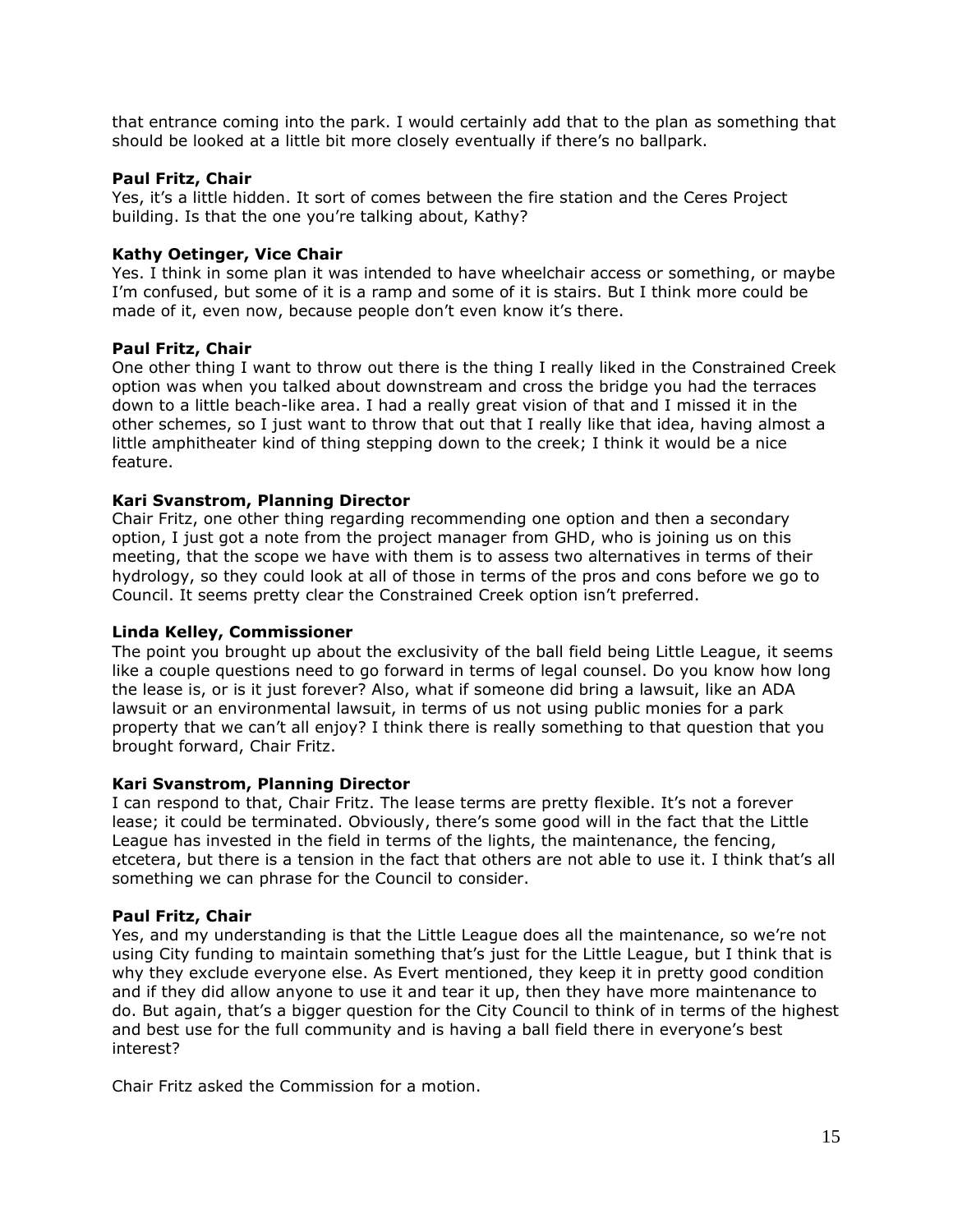that entrance coming into the park. I would certainly add that to the plan as something that should be looked at a little bit more closely eventually if there's no ballpark.

## **Paul Fritz, Chair**

Yes, it's a little hidden. It sort of comes between the fire station and the Ceres Project building. Is that the one you're talking about, Kathy?

## **Kathy Oetinger, Vice Chair**

Yes. I think in some plan it was intended to have wheelchair access or something, or maybe I'm confused, but some of it is a ramp and some of it is stairs. But I think more could be made of it, even now, because people don't even know it's there.

### **Paul Fritz, Chair**

One other thing I want to throw out there is the thing I really liked in the Constrained Creek option was when you talked about downstream and cross the bridge you had the terraces down to a little beach-like area. I had a really great vision of that and I missed it in the other schemes, so I just want to throw that out that I really like that idea, having almost a little amphitheater kind of thing stepping down to the creek; I think it would be a nice feature.

### **Kari Svanstrom, Planning Director**

Chair Fritz, one other thing regarding recommending one option and then a secondary option, I just got a note from the project manager from GHD, who is joining us on this meeting, that the scope we have with them is to assess two alternatives in terms of their hydrology, so they could look at all of those in terms of the pros and cons before we go to Council. It seems pretty clear the Constrained Creek option isn't preferred.

### **Linda Kelley, Commissioner**

The point you brought up about the exclusivity of the ball field being Little League, it seems like a couple questions need to go forward in terms of legal counsel. Do you know how long the lease is, or is it just forever? Also, what if someone did bring a lawsuit, like an ADA lawsuit or an environmental lawsuit, in terms of us not using public monies for a park property that we can't all enjoy? I think there is really something to that question that you brought forward, Chair Fritz.

#### **Kari Svanstrom, Planning Director**

I can respond to that, Chair Fritz. The lease terms are pretty flexible. It's not a forever lease; it could be terminated. Obviously, there's some good will in the fact that the Little League has invested in the field in terms of the lights, the maintenance, the fencing, etcetera, but there is a tension in the fact that others are not able to use it. I think that's all something we can phrase for the Council to consider.

#### **Paul Fritz, Chair**

Yes, and my understanding is that the Little League does all the maintenance, so we're not using City funding to maintain something that's just for the Little League, but I think that is why they exclude everyone else. As Evert mentioned, they keep it in pretty good condition and if they did allow anyone to use it and tear it up, then they have more maintenance to do. But again, that's a bigger question for the City Council to think of in terms of the highest and best use for the full community and is having a ball field there in everyone's best interest?

Chair Fritz asked the Commission for a motion.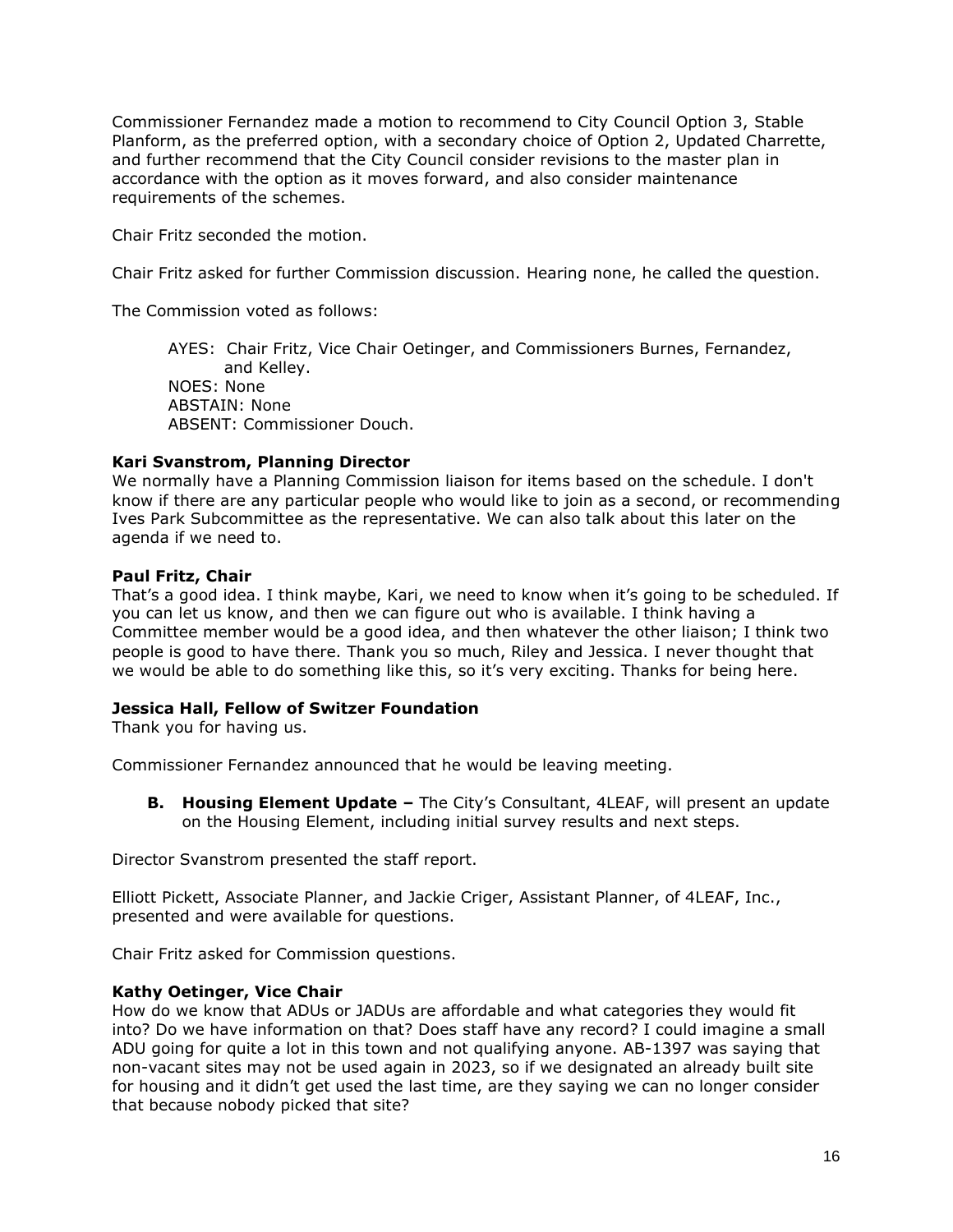Commissioner Fernandez made a motion to recommend to City Council Option 3, Stable Planform, as the preferred option, with a secondary choice of Option 2, Updated Charrette, and further recommend that the City Council consider revisions to the master plan in accordance with the option as it moves forward, and also consider maintenance requirements of the schemes.

Chair Fritz seconded the motion.

Chair Fritz asked for further Commission discussion. Hearing none, he called the question.

The Commission voted as follows:

AYES: Chair Fritz, Vice Chair Oetinger, and Commissioners Burnes, Fernandez, and Kelley. NOES: None ABSTAIN: None ABSENT: Commissioner Douch.

## **Kari Svanstrom, Planning Director**

We normally have a Planning Commission liaison for items based on the schedule. I don't know if there are any particular people who would like to join as a second, or recommending Ives Park Subcommittee as the representative. We can also talk about this later on the agenda if we need to.

# **Paul Fritz, Chair**

That's a good idea. I think maybe, Kari, we need to know when it's going to be scheduled. If you can let us know, and then we can figure out who is available. I think having a Committee member would be a good idea, and then whatever the other liaison; I think two people is good to have there. Thank you so much, Riley and Jessica. I never thought that we would be able to do something like this, so it's very exciting. Thanks for being here.

## **Jessica Hall, Fellow of Switzer Foundation**

Thank you for having us.

Commissioner Fernandez announced that he would be leaving meeting.

**B. Housing Element Update –** The City's Consultant, 4LEAF, will present an update on the Housing Element, including initial survey results and next steps.

Director Svanstrom presented the staff report.

Elliott Pickett, Associate Planner, and Jackie Criger, Assistant Planner, of 4LEAF, Inc., presented and were available for questions.

Chair Fritz asked for Commission questions.

# **Kathy Oetinger, Vice Chair**

How do we know that ADUs or JADUs are affordable and what categories they would fit into? Do we have information on that? Does staff have any record? I could imagine a small ADU going for quite a lot in this town and not qualifying anyone. AB-1397 was saying that non-vacant sites may not be used again in 2023, so if we designated an already built site for housing and it didn't get used the last time, are they saying we can no longer consider that because nobody picked that site?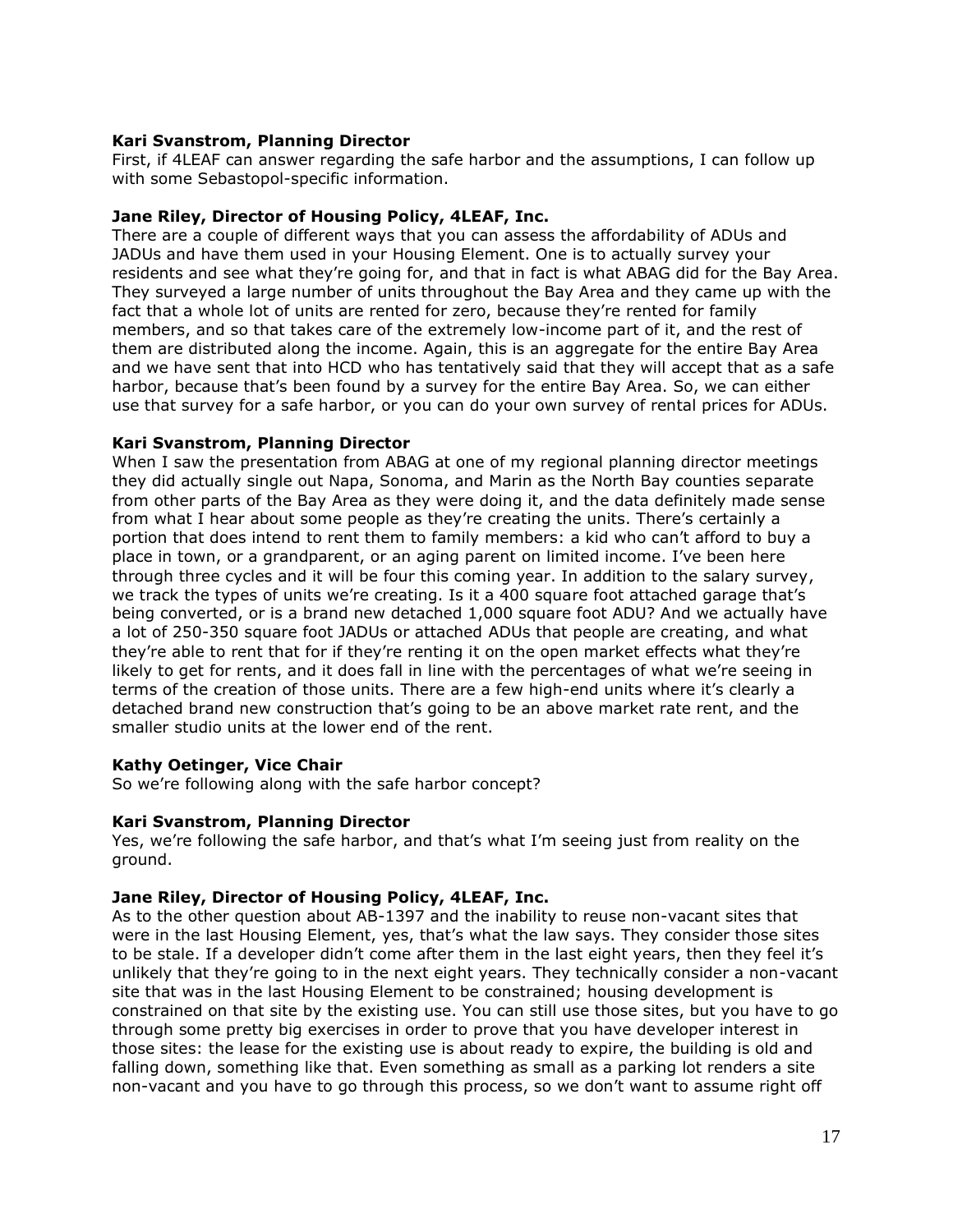## **Kari Svanstrom, Planning Director**

First, if 4LEAF can answer regarding the safe harbor and the assumptions, I can follow up with some Sebastopol-specific information.

### **Jane Riley, Director of Housing Policy, 4LEAF, Inc.**

There are a couple of different ways that you can assess the affordability of ADUs and JADUs and have them used in your Housing Element. One is to actually survey your residents and see what they're going for, and that in fact is what ABAG did for the Bay Area. They surveyed a large number of units throughout the Bay Area and they came up with the fact that a whole lot of units are rented for zero, because they're rented for family members, and so that takes care of the extremely low-income part of it, and the rest of them are distributed along the income. Again, this is an aggregate for the entire Bay Area and we have sent that into HCD who has tentatively said that they will accept that as a safe harbor, because that's been found by a survey for the entire Bay Area. So, we can either use that survey for a safe harbor, or you can do your own survey of rental prices for ADUs.

#### **Kari Svanstrom, Planning Director**

When I saw the presentation from ABAG at one of my regional planning director meetings they did actually single out Napa, Sonoma, and Marin as the North Bay counties separate from other parts of the Bay Area as they were doing it, and the data definitely made sense from what I hear about some people as they're creating the units. There's certainly a portion that does intend to rent them to family members: a kid who can't afford to buy a place in town, or a grandparent, or an aging parent on limited income. I've been here through three cycles and it will be four this coming year. In addition to the salary survey, we track the types of units we're creating. Is it a 400 square foot attached garage that's being converted, or is a brand new detached 1,000 square foot ADU? And we actually have a lot of 250-350 square foot JADUs or attached ADUs that people are creating, and what they're able to rent that for if they're renting it on the open market effects what they're likely to get for rents, and it does fall in line with the percentages of what we're seeing in terms of the creation of those units. There are a few high-end units where it's clearly a detached brand new construction that's going to be an above market rate rent, and the smaller studio units at the lower end of the rent.

## **Kathy Oetinger, Vice Chair**

So we're following along with the safe harbor concept?

#### **Kari Svanstrom, Planning Director**

Yes, we're following the safe harbor, and that's what I'm seeing just from reality on the ground.

#### **Jane Riley, Director of Housing Policy, 4LEAF, Inc.**

As to the other question about AB-1397 and the inability to reuse non-vacant sites that were in the last Housing Element, yes, that's what the law says. They consider those sites to be stale. If a developer didn't come after them in the last eight years, then they feel it's unlikely that they're going to in the next eight years. They technically consider a non-vacant site that was in the last Housing Element to be constrained; housing development is constrained on that site by the existing use. You can still use those sites, but you have to go through some pretty big exercises in order to prove that you have developer interest in those sites: the lease for the existing use is about ready to expire, the building is old and falling down, something like that. Even something as small as a parking lot renders a site non-vacant and you have to go through this process, so we don't want to assume right off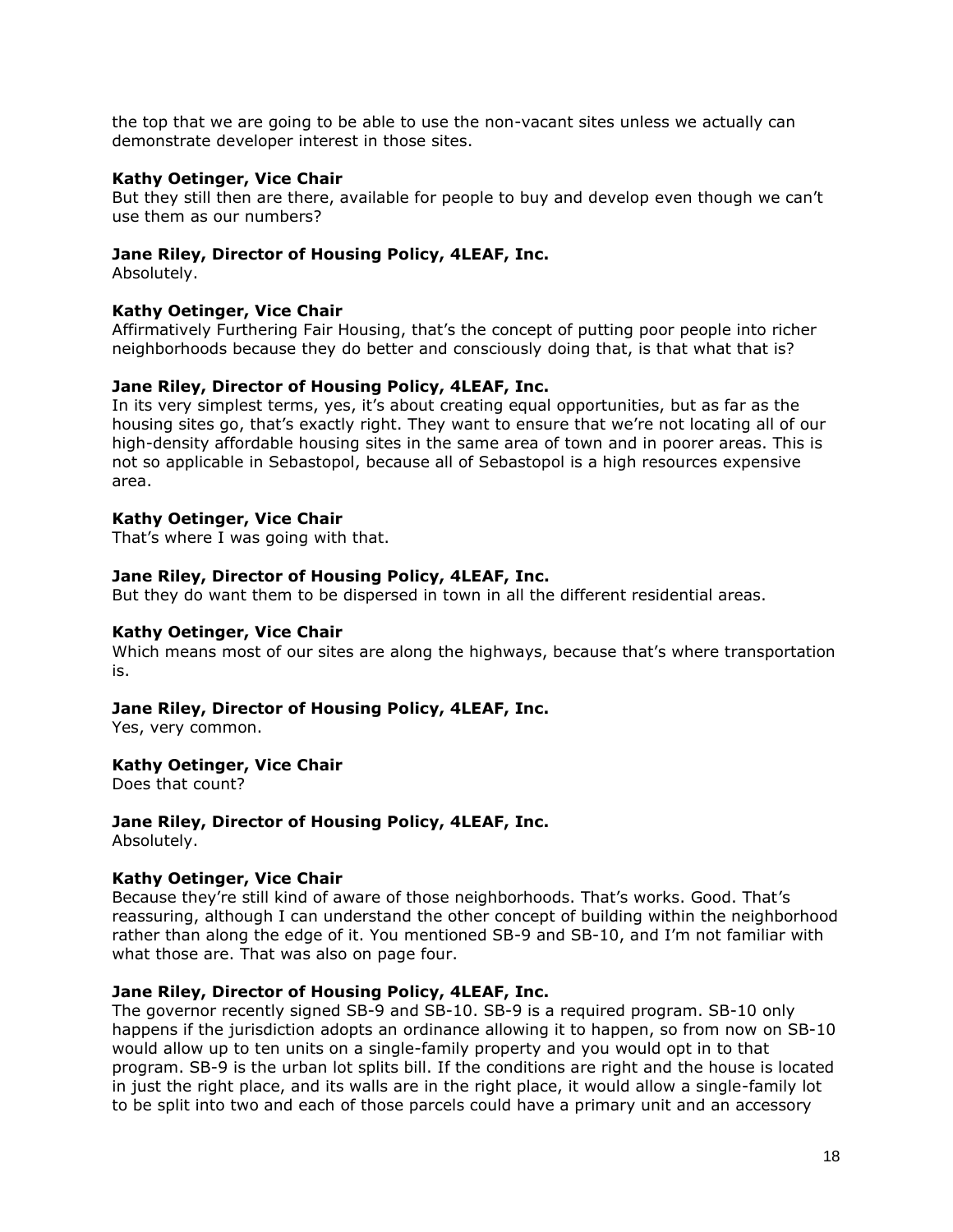the top that we are going to be able to use the non-vacant sites unless we actually can demonstrate developer interest in those sites.

### **Kathy Oetinger, Vice Chair**

But they still then are there, available for people to buy and develop even though we can't use them as our numbers?

## **Jane Riley, Director of Housing Policy, 4LEAF, Inc.**

Absolutely.

### **Kathy Oetinger, Vice Chair**

Affirmatively Furthering Fair Housing, that's the concept of putting poor people into richer neighborhoods because they do better and consciously doing that, is that what that is?

### **Jane Riley, Director of Housing Policy, 4LEAF, Inc.**

In its very simplest terms, yes, it's about creating equal opportunities, but as far as the housing sites go, that's exactly right. They want to ensure that we're not locating all of our high-density affordable housing sites in the same area of town and in poorer areas. This is not so applicable in Sebastopol, because all of Sebastopol is a high resources expensive area.

### **Kathy Oetinger, Vice Chair**

That's where I was going with that.

### **Jane Riley, Director of Housing Policy, 4LEAF, Inc.**

But they do want them to be dispersed in town in all the different residential areas.

### **Kathy Oetinger, Vice Chair**

Which means most of our sites are along the highways, because that's where transportation is.

#### **Jane Riley, Director of Housing Policy, 4LEAF, Inc.**

Yes, very common.

## **Kathy Oetinger, Vice Chair**

Does that count?

# **Jane Riley, Director of Housing Policy, 4LEAF, Inc.**

Absolutely.

#### **Kathy Oetinger, Vice Chair**

Because they're still kind of aware of those neighborhoods. That's works. Good. That's reassuring, although I can understand the other concept of building within the neighborhood rather than along the edge of it. You mentioned SB-9 and SB-10, and I'm not familiar with what those are. That was also on page four.

## **Jane Riley, Director of Housing Policy, 4LEAF, Inc.**

The governor recently signed SB-9 and SB-10. SB-9 is a required program. SB-10 only happens if the jurisdiction adopts an ordinance allowing it to happen, so from now on SB-10 would allow up to ten units on a single-family property and you would opt in to that program. SB-9 is the urban lot splits bill. If the conditions are right and the house is located in just the right place, and its walls are in the right place, it would allow a single-family lot to be split into two and each of those parcels could have a primary unit and an accessory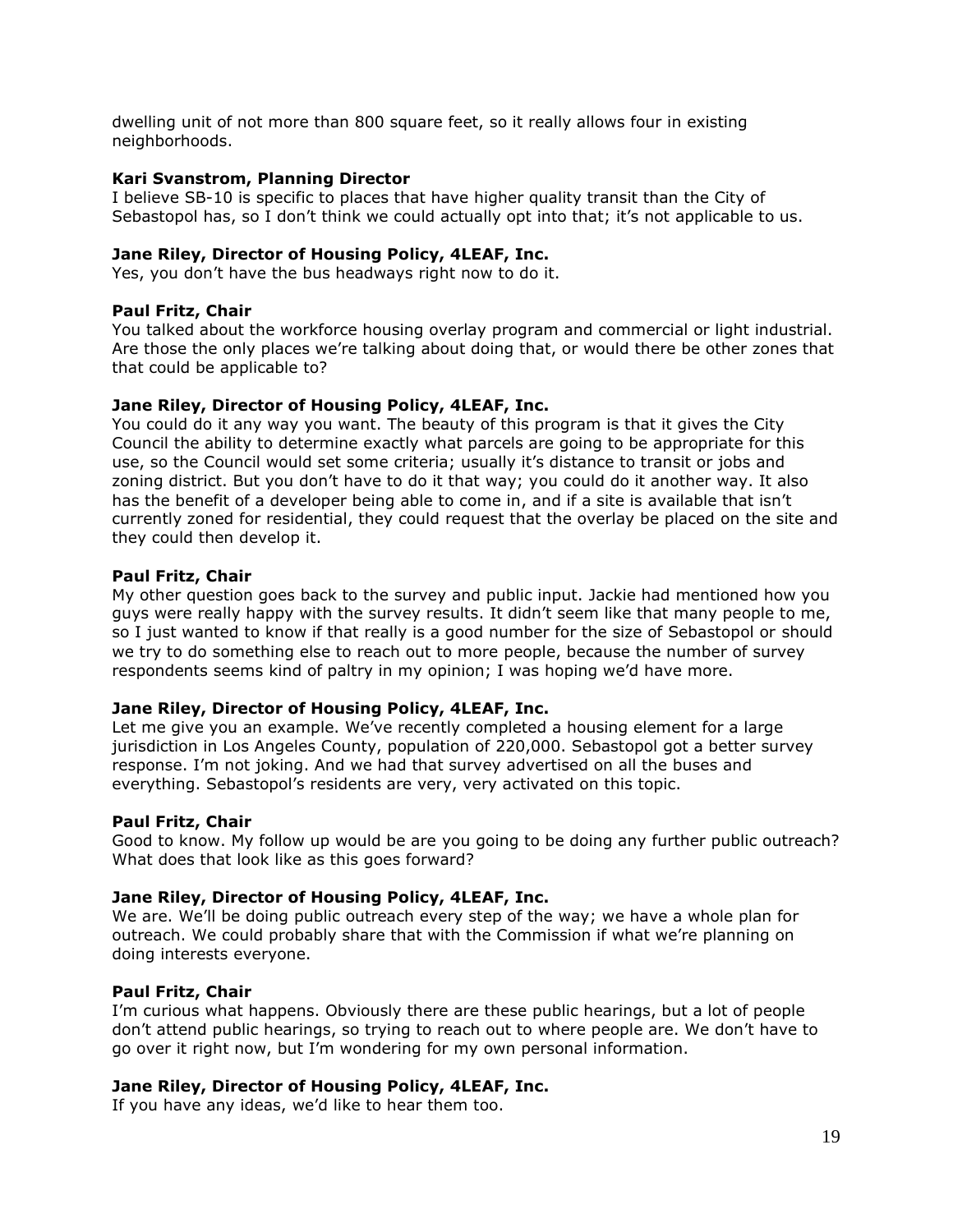dwelling unit of not more than 800 square feet, so it really allows four in existing neighborhoods.

## **Kari Svanstrom, Planning Director**

I believe SB-10 is specific to places that have higher quality transit than the City of Sebastopol has, so I don't think we could actually opt into that; it's not applicable to us.

## **Jane Riley, Director of Housing Policy, 4LEAF, Inc.**

Yes, you don't have the bus headways right now to do it.

### **Paul Fritz, Chair**

You talked about the workforce housing overlay program and commercial or light industrial. Are those the only places we're talking about doing that, or would there be other zones that that could be applicable to?

### **Jane Riley, Director of Housing Policy, 4LEAF, Inc.**

You could do it any way you want. The beauty of this program is that it gives the City Council the ability to determine exactly what parcels are going to be appropriate for this use, so the Council would set some criteria; usually it's distance to transit or jobs and zoning district. But you don't have to do it that way; you could do it another way. It also has the benefit of a developer being able to come in, and if a site is available that isn't currently zoned for residential, they could request that the overlay be placed on the site and they could then develop it.

### **Paul Fritz, Chair**

My other question goes back to the survey and public input. Jackie had mentioned how you guys were really happy with the survey results. It didn't seem like that many people to me, so I just wanted to know if that really is a good number for the size of Sebastopol or should we try to do something else to reach out to more people, because the number of survey respondents seems kind of paltry in my opinion; I was hoping we'd have more.

### **Jane Riley, Director of Housing Policy, 4LEAF, Inc.**

Let me give you an example. We've recently completed a housing element for a large jurisdiction in Los Angeles County, population of 220,000. Sebastopol got a better survey response. I'm not joking. And we had that survey advertised on all the buses and everything. Sebastopol's residents are very, very activated on this topic.

#### **Paul Fritz, Chair**

Good to know. My follow up would be are you going to be doing any further public outreach? What does that look like as this goes forward?

### **Jane Riley, Director of Housing Policy, 4LEAF, Inc.**

We are. We'll be doing public outreach every step of the way; we have a whole plan for outreach. We could probably share that with the Commission if what we're planning on doing interests everyone.

#### **Paul Fritz, Chair**

I'm curious what happens. Obviously there are these public hearings, but a lot of people don't attend public hearings, so trying to reach out to where people are. We don't have to go over it right now, but I'm wondering for my own personal information.

## **Jane Riley, Director of Housing Policy, 4LEAF, Inc.**

If you have any ideas, we'd like to hear them too.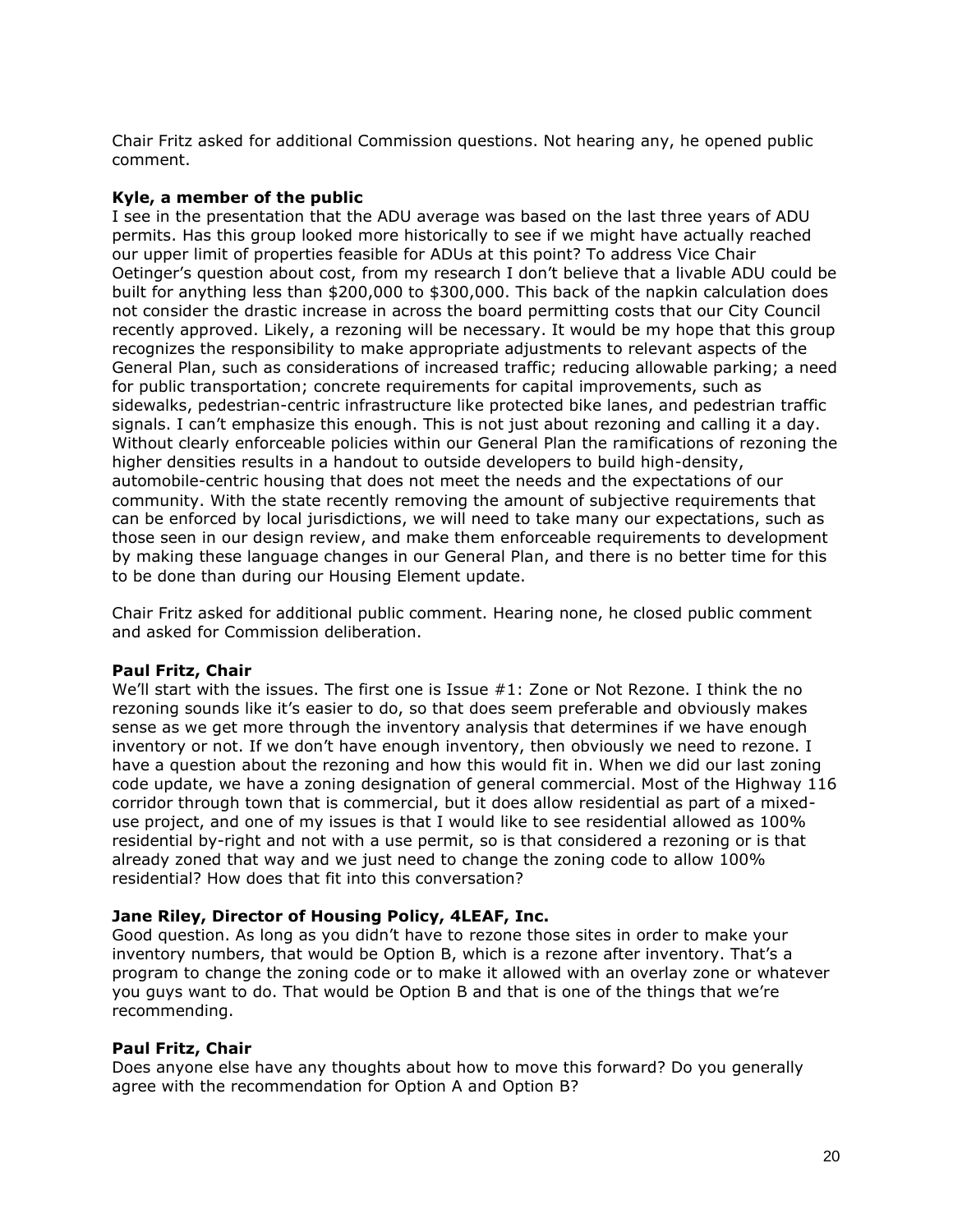Chair Fritz asked for additional Commission questions. Not hearing any, he opened public comment.

## **Kyle, a member of the public**

I see in the presentation that the ADU average was based on the last three years of ADU permits. Has this group looked more historically to see if we might have actually reached our upper limit of properties feasible for ADUs at this point? To address Vice Chair Oetinger's question about cost, from my research I don't believe that a livable ADU could be built for anything less than \$200,000 to \$300,000. This back of the napkin calculation does not consider the drastic increase in across the board permitting costs that our City Council recently approved. Likely, a rezoning will be necessary. It would be my hope that this group recognizes the responsibility to make appropriate adjustments to relevant aspects of the General Plan, such as considerations of increased traffic; reducing allowable parking; a need for public transportation; concrete requirements for capital improvements, such as sidewalks, pedestrian-centric infrastructure like protected bike lanes, and pedestrian traffic signals. I can't emphasize this enough. This is not just about rezoning and calling it a day. Without clearly enforceable policies within our General Plan the ramifications of rezoning the higher densities results in a handout to outside developers to build high-density, automobile-centric housing that does not meet the needs and the expectations of our community. With the state recently removing the amount of subjective requirements that can be enforced by local jurisdictions, we will need to take many our expectations, such as those seen in our design review, and make them enforceable requirements to development by making these language changes in our General Plan, and there is no better time for this to be done than during our Housing Element update.

Chair Fritz asked for additional public comment. Hearing none, he closed public comment and asked for Commission deliberation.

#### **Paul Fritz, Chair**

We'll start with the issues. The first one is Issue #1: Zone or Not Rezone. I think the no rezoning sounds like it's easier to do, so that does seem preferable and obviously makes sense as we get more through the inventory analysis that determines if we have enough inventory or not. If we don't have enough inventory, then obviously we need to rezone. I have a question about the rezoning and how this would fit in. When we did our last zoning code update, we have a zoning designation of general commercial. Most of the Highway 116 corridor through town that is commercial, but it does allow residential as part of a mixeduse project, and one of my issues is that I would like to see residential allowed as 100% residential by-right and not with a use permit, so is that considered a rezoning or is that already zoned that way and we just need to change the zoning code to allow 100% residential? How does that fit into this conversation?

#### **Jane Riley, Director of Housing Policy, 4LEAF, Inc.**

Good question. As long as you didn't have to rezone those sites in order to make your inventory numbers, that would be Option B, which is a rezone after inventory. That's a program to change the zoning code or to make it allowed with an overlay zone or whatever you guys want to do. That would be Option B and that is one of the things that we're recommending.

#### **Paul Fritz, Chair**

Does anyone else have any thoughts about how to move this forward? Do you generally agree with the recommendation for Option A and Option B?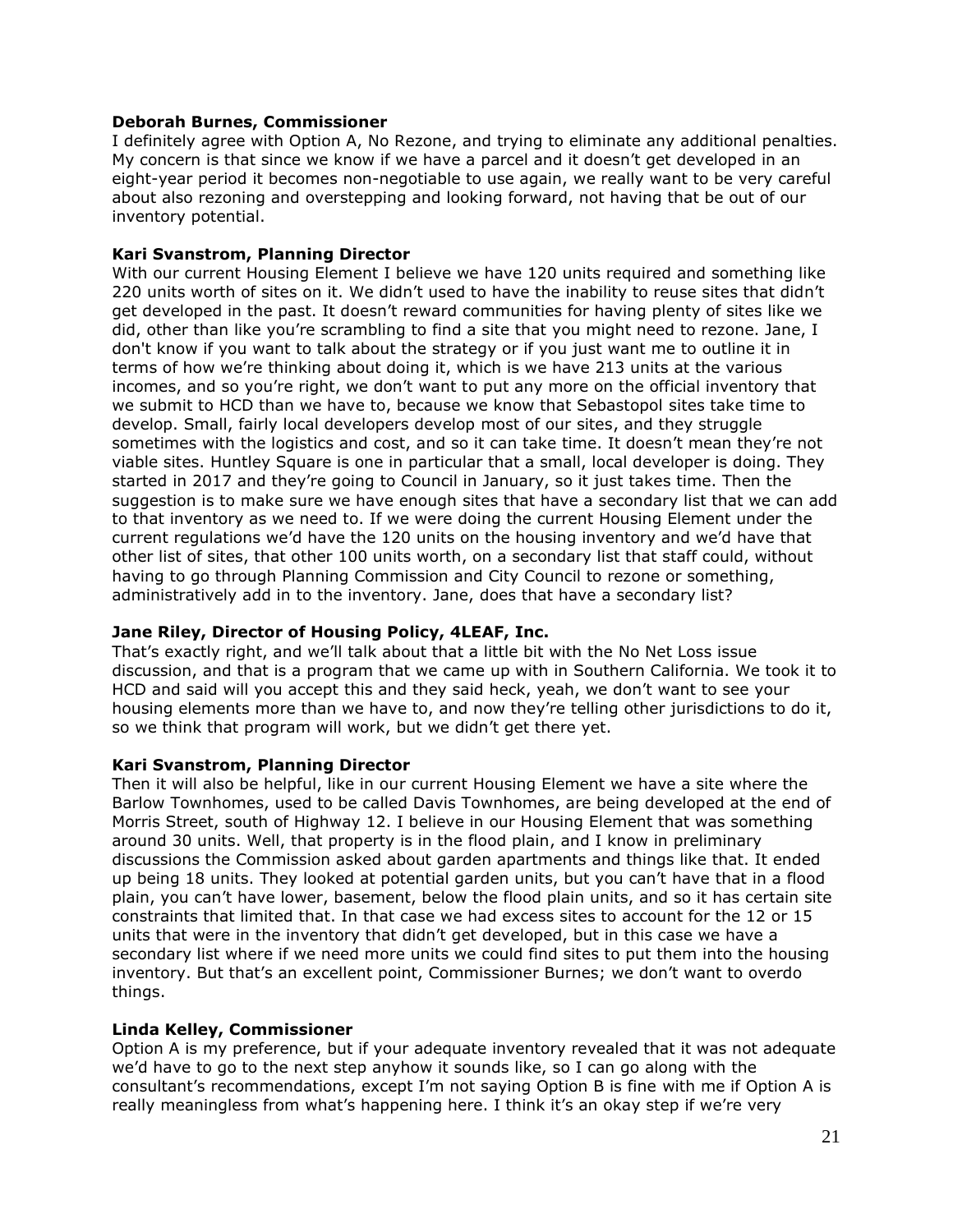## **Deborah Burnes, Commissioner**

I definitely agree with Option A, No Rezone, and trying to eliminate any additional penalties. My concern is that since we know if we have a parcel and it doesn't get developed in an eight-year period it becomes non-negotiable to use again, we really want to be very careful about also rezoning and overstepping and looking forward, not having that be out of our inventory potential.

### **Kari Svanstrom, Planning Director**

With our current Housing Element I believe we have 120 units required and something like 220 units worth of sites on it. We didn't used to have the inability to reuse sites that didn't get developed in the past. It doesn't reward communities for having plenty of sites like we did, other than like you're scrambling to find a site that you might need to rezone. Jane, I don't know if you want to talk about the strategy or if you just want me to outline it in terms of how we're thinking about doing it, which is we have 213 units at the various incomes, and so you're right, we don't want to put any more on the official inventory that we submit to HCD than we have to, because we know that Sebastopol sites take time to develop. Small, fairly local developers develop most of our sites, and they struggle sometimes with the logistics and cost, and so it can take time. It doesn't mean they're not viable sites. Huntley Square is one in particular that a small, local developer is doing. They started in 2017 and they're going to Council in January, so it just takes time. Then the suggestion is to make sure we have enough sites that have a secondary list that we can add to that inventory as we need to. If we were doing the current Housing Element under the current regulations we'd have the 120 units on the housing inventory and we'd have that other list of sites, that other 100 units worth, on a secondary list that staff could, without having to go through Planning Commission and City Council to rezone or something, administratively add in to the inventory. Jane, does that have a secondary list?

## **Jane Riley, Director of Housing Policy, 4LEAF, Inc.**

That's exactly right, and we'll talk about that a little bit with the No Net Loss issue discussion, and that is a program that we came up with in Southern California. We took it to HCD and said will you accept this and they said heck, yeah, we don't want to see your housing elements more than we have to, and now they're telling other jurisdictions to do it, so we think that program will work, but we didn't get there yet.

## **Kari Svanstrom, Planning Director**

Then it will also be helpful, like in our current Housing Element we have a site where the Barlow Townhomes, used to be called Davis Townhomes, are being developed at the end of Morris Street, south of Highway 12. I believe in our Housing Element that was something around 30 units. Well, that property is in the flood plain, and I know in preliminary discussions the Commission asked about garden apartments and things like that. It ended up being 18 units. They looked at potential garden units, but you can't have that in a flood plain, you can't have lower, basement, below the flood plain units, and so it has certain site constraints that limited that. In that case we had excess sites to account for the 12 or 15 units that were in the inventory that didn't get developed, but in this case we have a secondary list where if we need more units we could find sites to put them into the housing inventory. But that's an excellent point, Commissioner Burnes; we don't want to overdo things.

#### **Linda Kelley, Commissioner**

Option A is my preference, but if your adequate inventory revealed that it was not adequate we'd have to go to the next step anyhow it sounds like, so I can go along with the consultant's recommendations, except I'm not saying Option B is fine with me if Option A is really meaningless from what's happening here. I think it's an okay step if we're very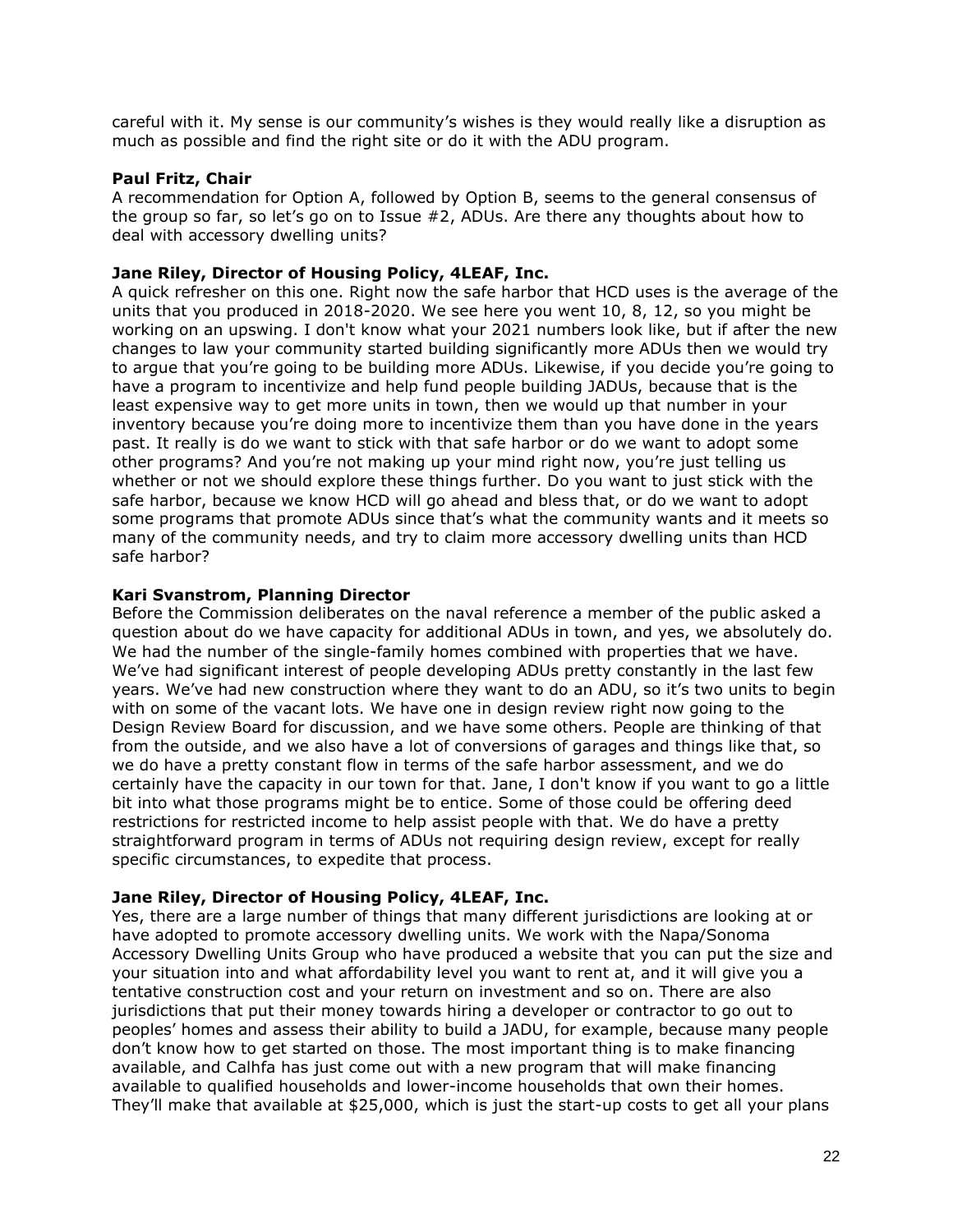careful with it. My sense is our community's wishes is they would really like a disruption as much as possible and find the right site or do it with the ADU program.

# **Paul Fritz, Chair**

A recommendation for Option A, followed by Option B, seems to the general consensus of the group so far, so let's go on to Issue #2, ADUs. Are there any thoughts about how to deal with accessory dwelling units?

# **Jane Riley, Director of Housing Policy, 4LEAF, Inc.**

A quick refresher on this one. Right now the safe harbor that HCD uses is the average of the units that you produced in 2018-2020. We see here you went 10, 8, 12, so you might be working on an upswing. I don't know what your 2021 numbers look like, but if after the new changes to law your community started building significantly more ADUs then we would try to argue that you're going to be building more ADUs. Likewise, if you decide you're going to have a program to incentivize and help fund people building JADUs, because that is the least expensive way to get more units in town, then we would up that number in your inventory because you're doing more to incentivize them than you have done in the years past. It really is do we want to stick with that safe harbor or do we want to adopt some other programs? And you're not making up your mind right now, you're just telling us whether or not we should explore these things further. Do you want to just stick with the safe harbor, because we know HCD will go ahead and bless that, or do we want to adopt some programs that promote ADUs since that's what the community wants and it meets so many of the community needs, and try to claim more accessory dwelling units than HCD safe harbor?

## **Kari Svanstrom, Planning Director**

Before the Commission deliberates on the naval reference a member of the public asked a question about do we have capacity for additional ADUs in town, and yes, we absolutely do. We had the number of the single-family homes combined with properties that we have. We've had significant interest of people developing ADUs pretty constantly in the last few years. We've had new construction where they want to do an ADU, so it's two units to begin with on some of the vacant lots. We have one in design review right now going to the Design Review Board for discussion, and we have some others. People are thinking of that from the outside, and we also have a lot of conversions of garages and things like that, so we do have a pretty constant flow in terms of the safe harbor assessment, and we do certainly have the capacity in our town for that. Jane, I don't know if you want to go a little bit into what those programs might be to entice. Some of those could be offering deed restrictions for restricted income to help assist people with that. We do have a pretty straightforward program in terms of ADUs not requiring design review, except for really specific circumstances, to expedite that process.

## **Jane Riley, Director of Housing Policy, 4LEAF, Inc.**

Yes, there are a large number of things that many different jurisdictions are looking at or have adopted to promote accessory dwelling units. We work with the Napa/Sonoma Accessory Dwelling Units Group who have produced a website that you can put the size and your situation into and what affordability level you want to rent at, and it will give you a tentative construction cost and your return on investment and so on. There are also jurisdictions that put their money towards hiring a developer or contractor to go out to peoples' homes and assess their ability to build a JADU, for example, because many people don't know how to get started on those. The most important thing is to make financing available, and Calhfa has just come out with a new program that will make financing available to qualified households and lower-income households that own their homes. They'll make that available at \$25,000, which is just the start-up costs to get all your plans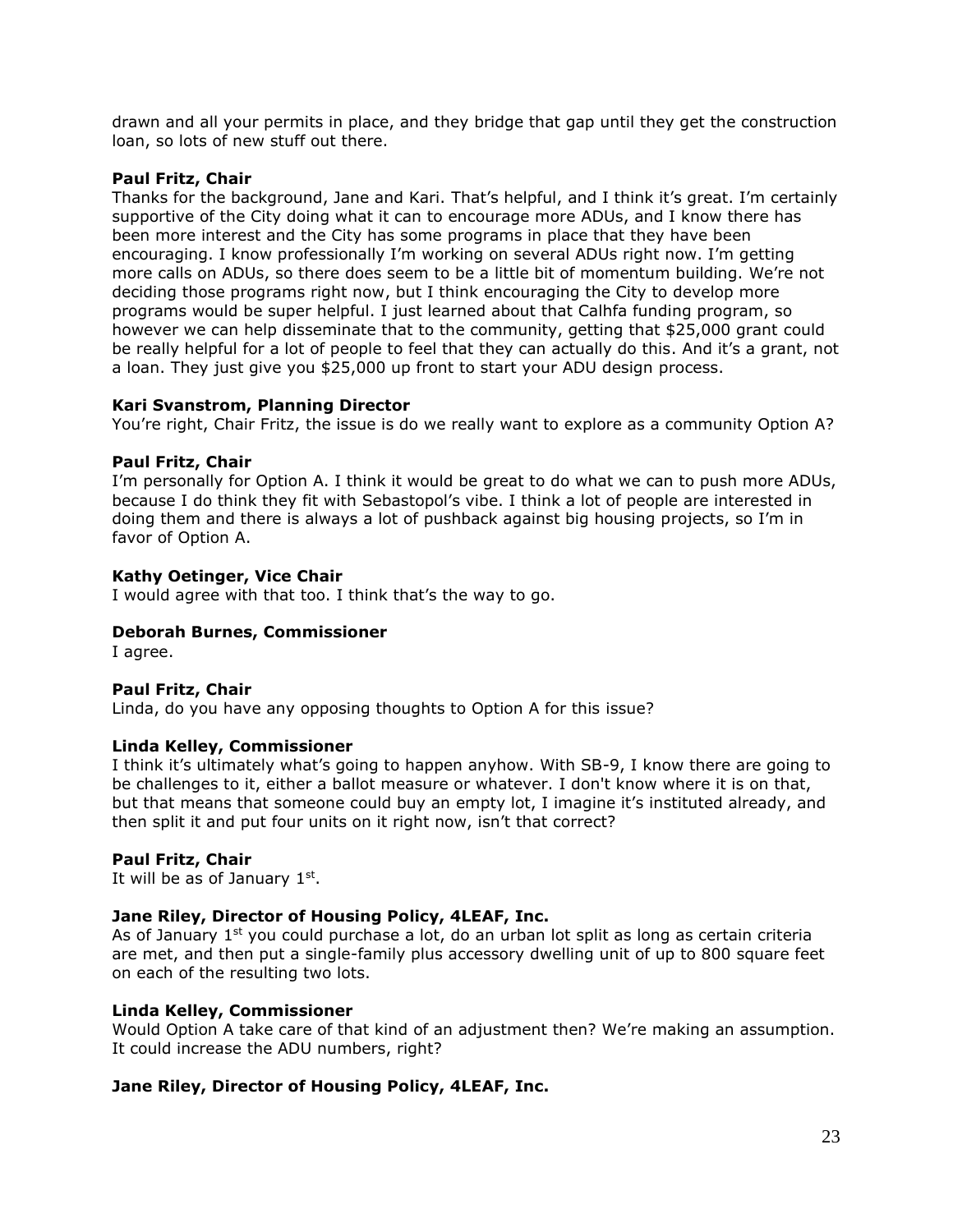drawn and all your permits in place, and they bridge that gap until they get the construction loan, so lots of new stuff out there.

# **Paul Fritz, Chair**

Thanks for the background, Jane and Kari. That's helpful, and I think it's great. I'm certainly supportive of the City doing what it can to encourage more ADUs, and I know there has been more interest and the City has some programs in place that they have been encouraging. I know professionally I'm working on several ADUs right now. I'm getting more calls on ADUs, so there does seem to be a little bit of momentum building. We're not deciding those programs right now, but I think encouraging the City to develop more programs would be super helpful. I just learned about that Calhfa funding program, so however we can help disseminate that to the community, getting that \$25,000 grant could be really helpful for a lot of people to feel that they can actually do this. And it's a grant, not a loan. They just give you \$25,000 up front to start your ADU design process.

# **Kari Svanstrom, Planning Director**

You're right, Chair Fritz, the issue is do we really want to explore as a community Option A?

## **Paul Fritz, Chair**

I'm personally for Option A. I think it would be great to do what we can to push more ADUs, because I do think they fit with Sebastopol's vibe. I think a lot of people are interested in doing them and there is always a lot of pushback against big housing projects, so I'm in favor of Option A.

# **Kathy Oetinger, Vice Chair**

I would agree with that too. I think that's the way to go.

## **Deborah Burnes, Commissioner**

I agree.

## **Paul Fritz, Chair**

Linda, do you have any opposing thoughts to Option A for this issue?

## **Linda Kelley, Commissioner**

I think it's ultimately what's going to happen anyhow. With SB-9, I know there are going to be challenges to it, either a ballot measure or whatever. I don't know where it is on that, but that means that someone could buy an empty lot, I imagine it's instituted already, and then split it and put four units on it right now, isn't that correct?

## **Paul Fritz, Chair**

It will be as of January  $1<sup>st</sup>$ .

# **Jane Riley, Director of Housing Policy, 4LEAF, Inc.**

As of January  $1<sup>st</sup>$  you could purchase a lot, do an urban lot split as long as certain criteria are met, and then put a single-family plus accessory dwelling unit of up to 800 square feet on each of the resulting two lots.

## **Linda Kelley, Commissioner**

Would Option A take care of that kind of an adjustment then? We're making an assumption. It could increase the ADU numbers, right?

# **Jane Riley, Director of Housing Policy, 4LEAF, Inc.**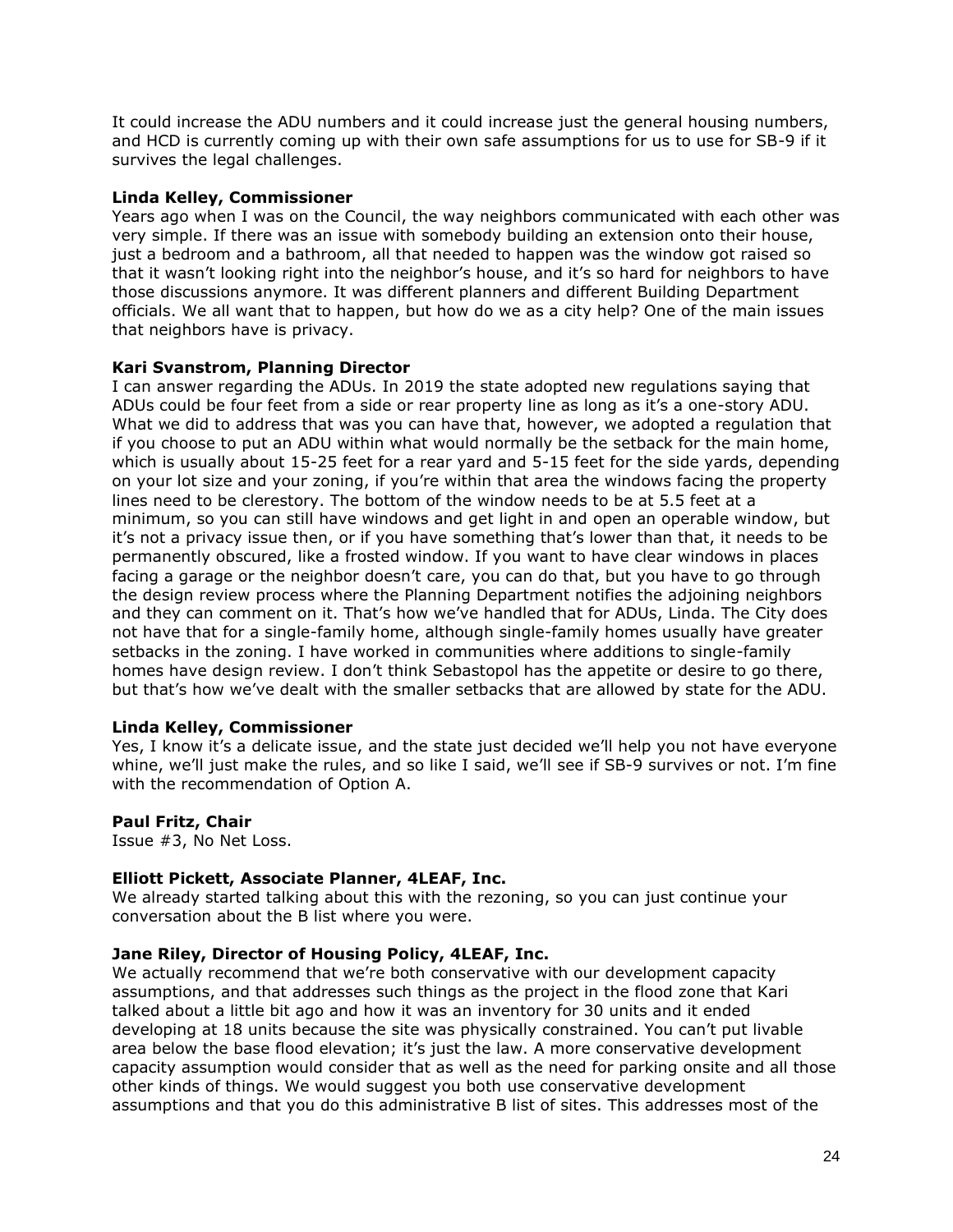It could increase the ADU numbers and it could increase just the general housing numbers, and HCD is currently coming up with their own safe assumptions for us to use for SB-9 if it survives the legal challenges.

# **Linda Kelley, Commissioner**

Years ago when I was on the Council, the way neighbors communicated with each other was very simple. If there was an issue with somebody building an extension onto their house, just a bedroom and a bathroom, all that needed to happen was the window got raised so that it wasn't looking right into the neighbor's house, and it's so hard for neighbors to have those discussions anymore. It was different planners and different Building Department officials. We all want that to happen, but how do we as a city help? One of the main issues that neighbors have is privacy.

# **Kari Svanstrom, Planning Director**

I can answer regarding the ADUs. In 2019 the state adopted new regulations saying that ADUs could be four feet from a side or rear property line as long as it's a one-story ADU. What we did to address that was you can have that, however, we adopted a regulation that if you choose to put an ADU within what would normally be the setback for the main home, which is usually about 15-25 feet for a rear yard and 5-15 feet for the side yards, depending on your lot size and your zoning, if you're within that area the windows facing the property lines need to be clerestory. The bottom of the window needs to be at 5.5 feet at a minimum, so you can still have windows and get light in and open an operable window, but it's not a privacy issue then, or if you have something that's lower than that, it needs to be permanently obscured, like a frosted window. If you want to have clear windows in places facing a garage or the neighbor doesn't care, you can do that, but you have to go through the design review process where the Planning Department notifies the adjoining neighbors and they can comment on it. That's how we've handled that for ADUs, Linda. The City does not have that for a single-family home, although single-family homes usually have greater setbacks in the zoning. I have worked in communities where additions to single-family homes have design review. I don't think Sebastopol has the appetite or desire to go there, but that's how we've dealt with the smaller setbacks that are allowed by state for the ADU.

## **Linda Kelley, Commissioner**

Yes, I know it's a delicate issue, and the state just decided we'll help you not have everyone whine, we'll just make the rules, and so like I said, we'll see if SB-9 survives or not. I'm fine with the recommendation of Option A.

## **Paul Fritz, Chair**

Issue #3, No Net Loss.

## **Elliott Pickett, Associate Planner, 4LEAF, Inc.**

We already started talking about this with the rezoning, so you can just continue your conversation about the B list where you were.

## **Jane Riley, Director of Housing Policy, 4LEAF, Inc.**

We actually recommend that we're both conservative with our development capacity assumptions, and that addresses such things as the project in the flood zone that Kari talked about a little bit ago and how it was an inventory for 30 units and it ended developing at 18 units because the site was physically constrained. You can't put livable area below the base flood elevation; it's just the law. A more conservative development capacity assumption would consider that as well as the need for parking onsite and all those other kinds of things. We would suggest you both use conservative development assumptions and that you do this administrative B list of sites. This addresses most of the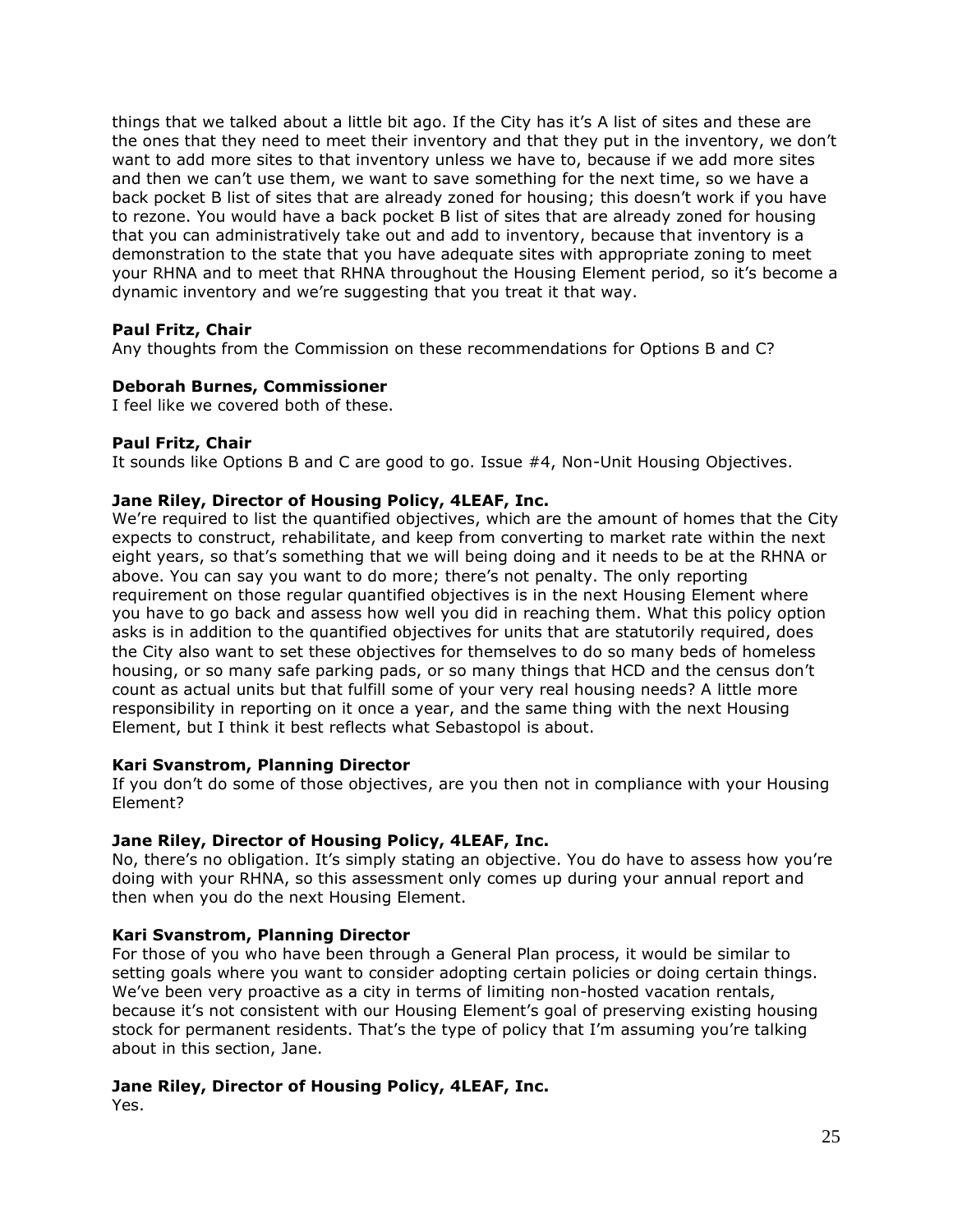things that we talked about a little bit ago. If the City has it's A list of sites and these are the ones that they need to meet their inventory and that they put in the inventory, we don't want to add more sites to that inventory unless we have to, because if we add more sites and then we can't use them, we want to save something for the next time, so we have a back pocket B list of sites that are already zoned for housing; this doesn't work if you have to rezone. You would have a back pocket B list of sites that are already zoned for housing that you can administratively take out and add to inventory, because that inventory is a demonstration to the state that you have adequate sites with appropriate zoning to meet your RHNA and to meet that RHNA throughout the Housing Element period, so it's become a dynamic inventory and we're suggesting that you treat it that way.

## **Paul Fritz, Chair**

Any thoughts from the Commission on these recommendations for Options B and C?

## **Deborah Burnes, Commissioner**

I feel like we covered both of these.

## **Paul Fritz, Chair**

It sounds like Options B and C are good to go. Issue #4, Non-Unit Housing Objectives.

# **Jane Riley, Director of Housing Policy, 4LEAF, Inc.**

We're required to list the quantified objectives, which are the amount of homes that the City expects to construct, rehabilitate, and keep from converting to market rate within the next eight years, so that's something that we will being doing and it needs to be at the RHNA or above. You can say you want to do more; there's not penalty. The only reporting requirement on those regular quantified objectives is in the next Housing Element where you have to go back and assess how well you did in reaching them. What this policy option asks is in addition to the quantified objectives for units that are statutorily required, does the City also want to set these objectives for themselves to do so many beds of homeless housing, or so many safe parking pads, or so many things that HCD and the census don't count as actual units but that fulfill some of your very real housing needs? A little more responsibility in reporting on it once a year, and the same thing with the next Housing Element, but I think it best reflects what Sebastopol is about.

## **Kari Svanstrom, Planning Director**

If you don't do some of those objectives, are you then not in compliance with your Housing Element?

## **Jane Riley, Director of Housing Policy, 4LEAF, Inc.**

No, there's no obligation. It's simply stating an objective. You do have to assess how you're doing with your RHNA, so this assessment only comes up during your annual report and then when you do the next Housing Element.

# **Kari Svanstrom, Planning Director**

For those of you who have been through a General Plan process, it would be similar to setting goals where you want to consider adopting certain policies or doing certain things. We've been very proactive as a city in terms of limiting non-hosted vacation rentals, because it's not consistent with our Housing Element's goal of preserving existing housing stock for permanent residents. That's the type of policy that I'm assuming you're talking about in this section, Jane.

# **Jane Riley, Director of Housing Policy, 4LEAF, Inc.**

Yes.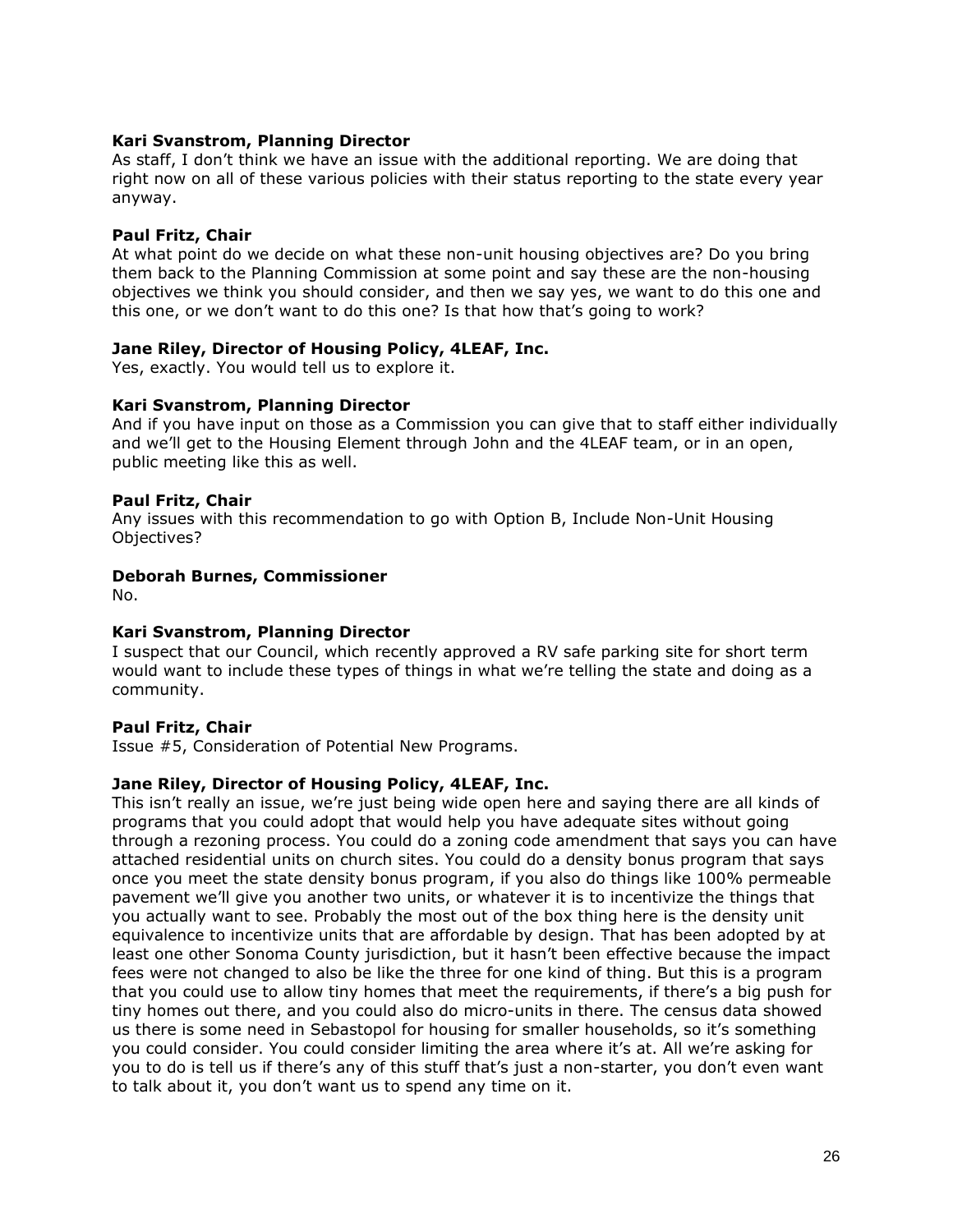# **Kari Svanstrom, Planning Director**

As staff, I don't think we have an issue with the additional reporting. We are doing that right now on all of these various policies with their status reporting to the state every year anyway.

# **Paul Fritz, Chair**

At what point do we decide on what these non-unit housing objectives are? Do you bring them back to the Planning Commission at some point and say these are the non-housing objectives we think you should consider, and then we say yes, we want to do this one and this one, or we don't want to do this one? Is that how that's going to work?

## **Jane Riley, Director of Housing Policy, 4LEAF, Inc.**

Yes, exactly. You would tell us to explore it.

## **Kari Svanstrom, Planning Director**

And if you have input on those as a Commission you can give that to staff either individually and we'll get to the Housing Element through John and the 4LEAF team, or in an open, public meeting like this as well.

# **Paul Fritz, Chair**

Any issues with this recommendation to go with Option B, Include Non-Unit Housing Objectives?

## **Deborah Burnes, Commissioner**

No.

## **Kari Svanstrom, Planning Director**

I suspect that our Council, which recently approved a RV safe parking site for short term would want to include these types of things in what we're telling the state and doing as a community.

## **Paul Fritz, Chair**

Issue #5, Consideration of Potential New Programs.

## **Jane Riley, Director of Housing Policy, 4LEAF, Inc.**

This isn't really an issue, we're just being wide open here and saying there are all kinds of programs that you could adopt that would help you have adequate sites without going through a rezoning process. You could do a zoning code amendment that says you can have attached residential units on church sites. You could do a density bonus program that says once you meet the state density bonus program, if you also do things like 100% permeable pavement we'll give you another two units, or whatever it is to incentivize the things that you actually want to see. Probably the most out of the box thing here is the density unit equivalence to incentivize units that are affordable by design. That has been adopted by at least one other Sonoma County jurisdiction, but it hasn't been effective because the impact fees were not changed to also be like the three for one kind of thing. But this is a program that you could use to allow tiny homes that meet the requirements, if there's a big push for tiny homes out there, and you could also do micro-units in there. The census data showed us there is some need in Sebastopol for housing for smaller households, so it's something you could consider. You could consider limiting the area where it's at. All we're asking for you to do is tell us if there's any of this stuff that's just a non-starter, you don't even want to talk about it, you don't want us to spend any time on it.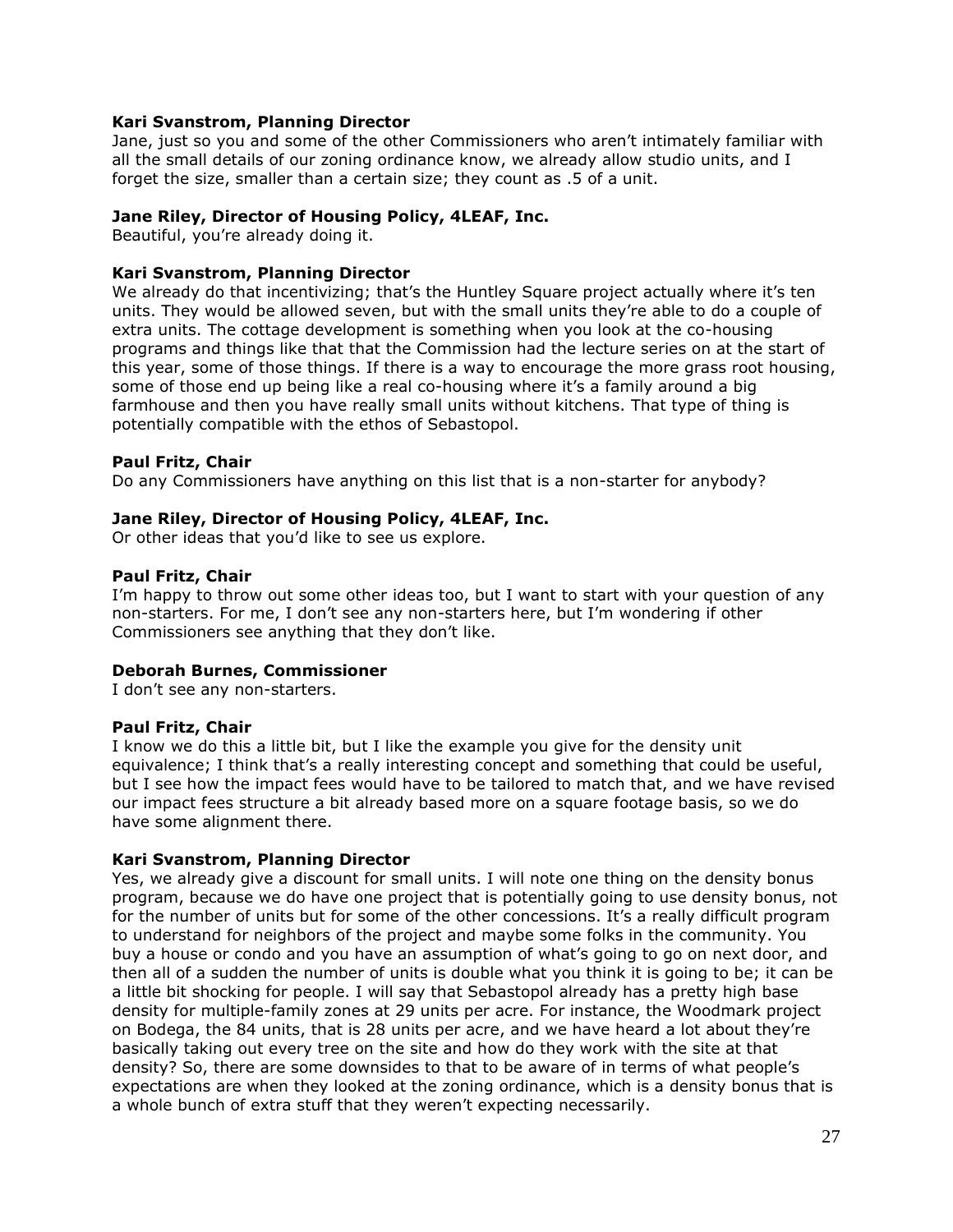## **Kari Svanstrom, Planning Director**

Jane, just so you and some of the other Commissioners who aren't intimately familiar with all the small details of our zoning ordinance know, we already allow studio units, and I forget the size, smaller than a certain size; they count as .5 of a unit.

### **Jane Riley, Director of Housing Policy, 4LEAF, Inc.**

Beautiful, you're already doing it.

## **Kari Svanstrom, Planning Director**

We already do that incentivizing; that's the Huntley Square project actually where it's ten units. They would be allowed seven, but with the small units they're able to do a couple of extra units. The cottage development is something when you look at the co-housing programs and things like that that the Commission had the lecture series on at the start of this year, some of those things. If there is a way to encourage the more grass root housing, some of those end up being like a real co-housing where it's a family around a big farmhouse and then you have really small units without kitchens. That type of thing is potentially compatible with the ethos of Sebastopol.

### **Paul Fritz, Chair**

Do any Commissioners have anything on this list that is a non-starter for anybody?

### **Jane Riley, Director of Housing Policy, 4LEAF, Inc.**

Or other ideas that you'd like to see us explore.

### **Paul Fritz, Chair**

I'm happy to throw out some other ideas too, but I want to start with your question of any non-starters. For me, I don't see any non-starters here, but I'm wondering if other Commissioners see anything that they don't like.

### **Deborah Burnes, Commissioner**

I don't see any non-starters.

## **Paul Fritz, Chair**

I know we do this a little bit, but I like the example you give for the density unit equivalence; I think that's a really interesting concept and something that could be useful, but I see how the impact fees would have to be tailored to match that, and we have revised our impact fees structure a bit already based more on a square footage basis, so we do have some alignment there.

#### **Kari Svanstrom, Planning Director**

Yes, we already give a discount for small units. I will note one thing on the density bonus program, because we do have one project that is potentially going to use density bonus, not for the number of units but for some of the other concessions. It's a really difficult program to understand for neighbors of the project and maybe some folks in the community. You buy a house or condo and you have an assumption of what's going to go on next door, and then all of a sudden the number of units is double what you think it is going to be; it can be a little bit shocking for people. I will say that Sebastopol already has a pretty high base density for multiple-family zones at 29 units per acre. For instance, the Woodmark project on Bodega, the 84 units, that is 28 units per acre, and we have heard a lot about they're basically taking out every tree on the site and how do they work with the site at that density? So, there are some downsides to that to be aware of in terms of what people's expectations are when they looked at the zoning ordinance, which is a density bonus that is a whole bunch of extra stuff that they weren't expecting necessarily.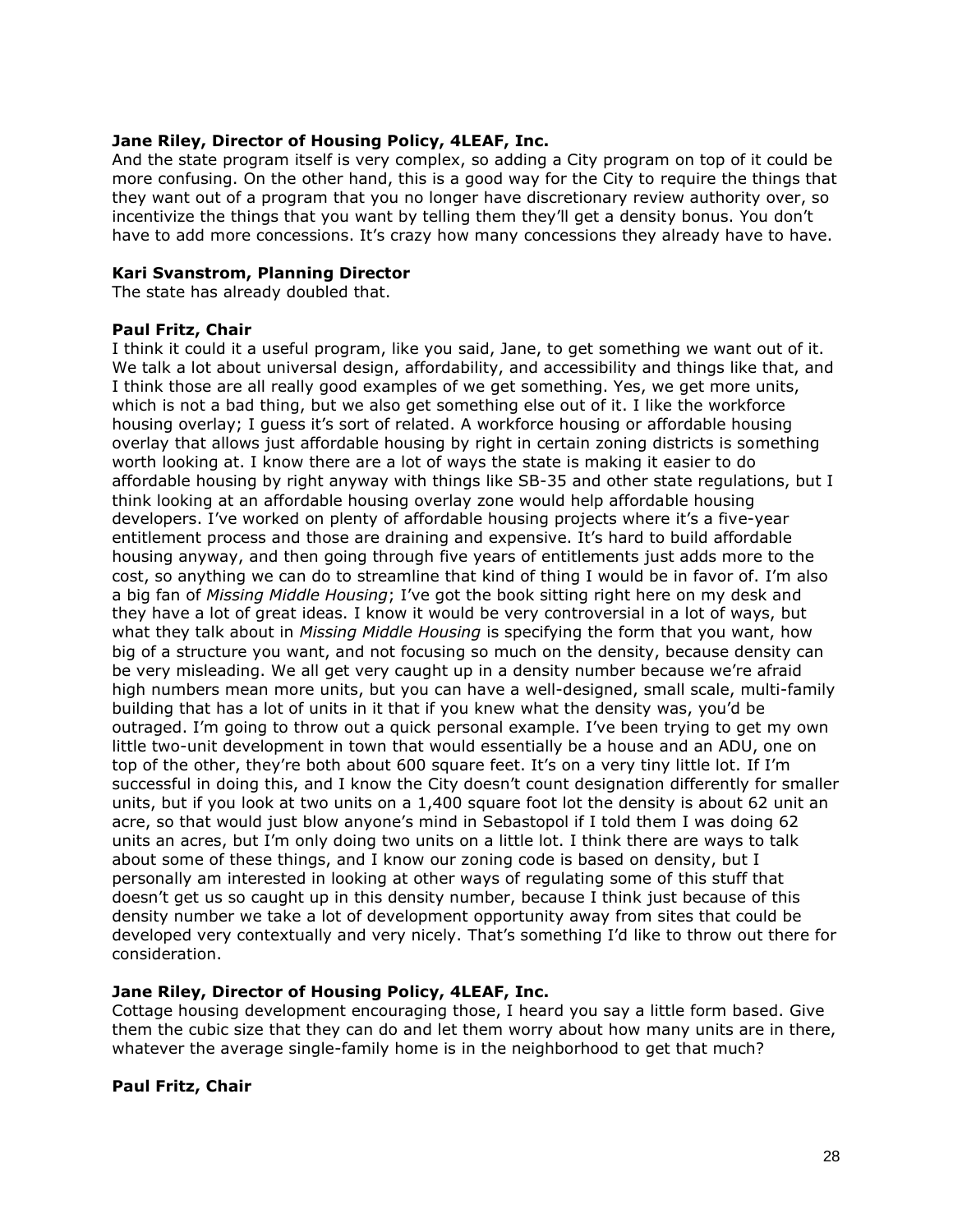## **Jane Riley, Director of Housing Policy, 4LEAF, Inc.**

And the state program itself is very complex, so adding a City program on top of it could be more confusing. On the other hand, this is a good way for the City to require the things that they want out of a program that you no longer have discretionary review authority over, so incentivize the things that you want by telling them they'll get a density bonus. You don't have to add more concessions. It's crazy how many concessions they already have to have.

# **Kari Svanstrom, Planning Director**

The state has already doubled that.

### **Paul Fritz, Chair**

I think it could it a useful program, like you said, Jane, to get something we want out of it. We talk a lot about universal design, affordability, and accessibility and things like that, and I think those are all really good examples of we get something. Yes, we get more units, which is not a bad thing, but we also get something else out of it. I like the workforce housing overlay; I guess it's sort of related. A workforce housing or affordable housing overlay that allows just affordable housing by right in certain zoning districts is something worth looking at. I know there are a lot of ways the state is making it easier to do affordable housing by right anyway with things like SB-35 and other state regulations, but I think looking at an affordable housing overlay zone would help affordable housing developers. I've worked on plenty of affordable housing projects where it's a five-year entitlement process and those are draining and expensive. It's hard to build affordable housing anyway, and then going through five years of entitlements just adds more to the cost, so anything we can do to streamline that kind of thing I would be in favor of. I'm also a big fan of *Missing Middle Housing*; I've got the book sitting right here on my desk and they have a lot of great ideas. I know it would be very controversial in a lot of ways, but what they talk about in *Missing Middle Housing* is specifying the form that you want, how big of a structure you want, and not focusing so much on the density, because density can be very misleading. We all get very caught up in a density number because we're afraid high numbers mean more units, but you can have a well-designed, small scale, multi-family building that has a lot of units in it that if you knew what the density was, you'd be outraged. I'm going to throw out a quick personal example. I've been trying to get my own little two-unit development in town that would essentially be a house and an ADU, one on top of the other, they're both about 600 square feet. It's on a very tiny little lot. If I'm successful in doing this, and I know the City doesn't count designation differently for smaller units, but if you look at two units on a 1,400 square foot lot the density is about 62 unit an acre, so that would just blow anyone's mind in Sebastopol if I told them I was doing 62 units an acres, but I'm only doing two units on a little lot. I think there are ways to talk about some of these things, and I know our zoning code is based on density, but I personally am interested in looking at other ways of regulating some of this stuff that doesn't get us so caught up in this density number, because I think just because of this density number we take a lot of development opportunity away from sites that could be developed very contextually and very nicely. That's something I'd like to throw out there for consideration.

# **Jane Riley, Director of Housing Policy, 4LEAF, Inc.**

Cottage housing development encouraging those, I heard you say a little form based. Give them the cubic size that they can do and let them worry about how many units are in there, whatever the average single-family home is in the neighborhood to get that much?

#### **Paul Fritz, Chair**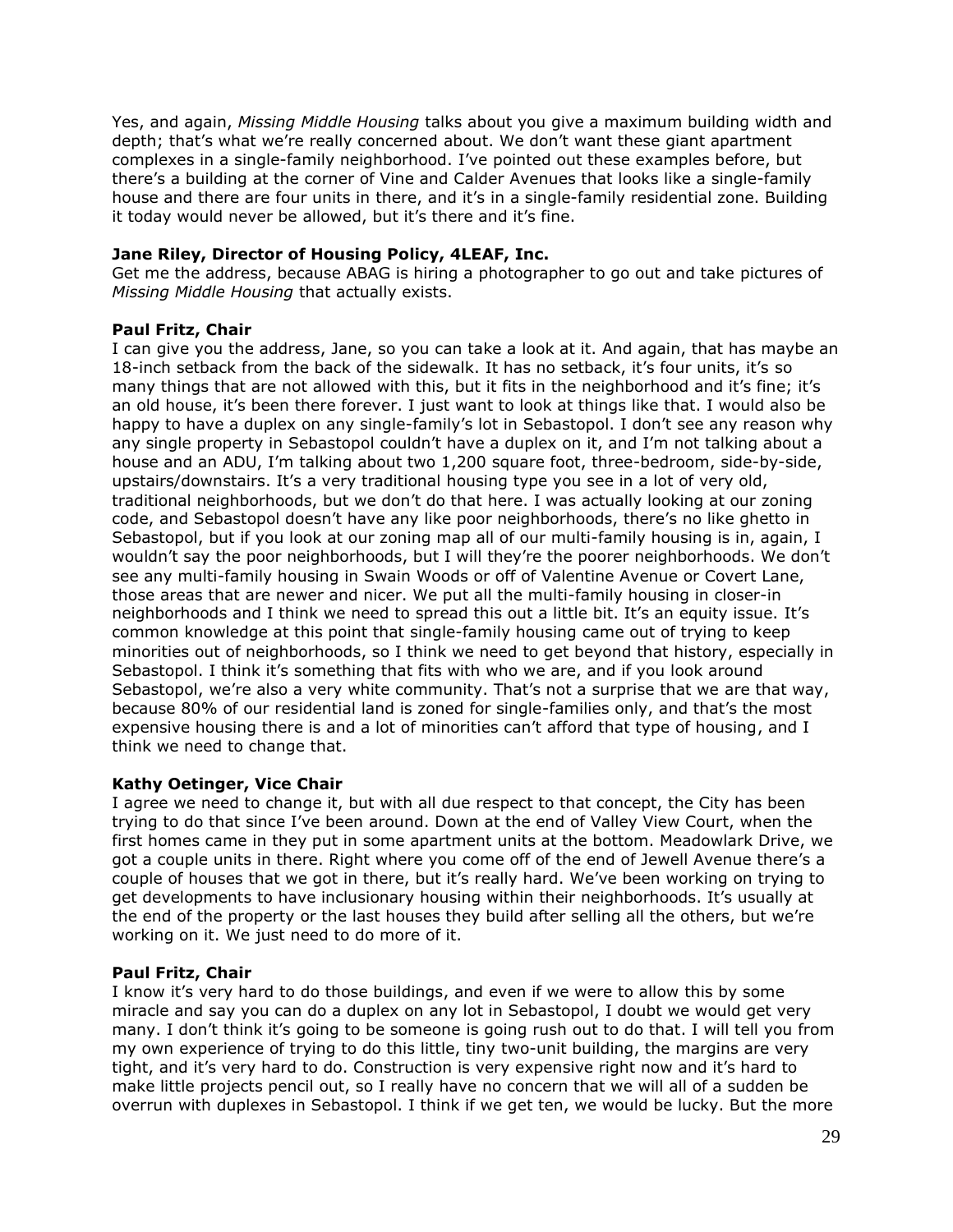Yes, and again, *Missing Middle Housing* talks about you give a maximum building width and depth; that's what we're really concerned about. We don't want these giant apartment complexes in a single-family neighborhood. I've pointed out these examples before, but there's a building at the corner of Vine and Calder Avenues that looks like a single-family house and there are four units in there, and it's in a single-family residential zone. Building it today would never be allowed, but it's there and it's fine.

## **Jane Riley, Director of Housing Policy, 4LEAF, Inc.**

Get me the address, because ABAG is hiring a photographer to go out and take pictures of *Missing Middle Housing* that actually exists.

### **Paul Fritz, Chair**

I can give you the address, Jane, so you can take a look at it. And again, that has maybe an 18-inch setback from the back of the sidewalk. It has no setback, it's four units, it's so many things that are not allowed with this, but it fits in the neighborhood and it's fine; it's an old house, it's been there forever. I just want to look at things like that. I would also be happy to have a duplex on any single-family's lot in Sebastopol. I don't see any reason why any single property in Sebastopol couldn't have a duplex on it, and I'm not talking about a house and an ADU, I'm talking about two 1,200 square foot, three-bedroom, side-by-side, upstairs/downstairs. It's a very traditional housing type you see in a lot of very old, traditional neighborhoods, but we don't do that here. I was actually looking at our zoning code, and Sebastopol doesn't have any like poor neighborhoods, there's no like ghetto in Sebastopol, but if you look at our zoning map all of our multi-family housing is in, again, I wouldn't say the poor neighborhoods, but I will they're the poorer neighborhoods. We don't see any multi-family housing in Swain Woods or off of Valentine Avenue or Covert Lane, those areas that are newer and nicer. We put all the multi-family housing in closer-in neighborhoods and I think we need to spread this out a little bit. It's an equity issue. It's common knowledge at this point that single-family housing came out of trying to keep minorities out of neighborhoods, so I think we need to get beyond that history, especially in Sebastopol. I think it's something that fits with who we are, and if you look around Sebastopol, we're also a very white community. That's not a surprise that we are that way, because 80% of our residential land is zoned for single-families only, and that's the most expensive housing there is and a lot of minorities can't afford that type of housing, and I think we need to change that.

## **Kathy Oetinger, Vice Chair**

I agree we need to change it, but with all due respect to that concept, the City has been trying to do that since I've been around. Down at the end of Valley View Court, when the first homes came in they put in some apartment units at the bottom. Meadowlark Drive, we got a couple units in there. Right where you come off of the end of Jewell Avenue there's a couple of houses that we got in there, but it's really hard. We've been working on trying to get developments to have inclusionary housing within their neighborhoods. It's usually at the end of the property or the last houses they build after selling all the others, but we're working on it. We just need to do more of it.

#### **Paul Fritz, Chair**

I know it's very hard to do those buildings, and even if we were to allow this by some miracle and say you can do a duplex on any lot in Sebastopol, I doubt we would get very many. I don't think it's going to be someone is going rush out to do that. I will tell you from my own experience of trying to do this little, tiny two-unit building, the margins are very tight, and it's very hard to do. Construction is very expensive right now and it's hard to make little projects pencil out, so I really have no concern that we will all of a sudden be overrun with duplexes in Sebastopol. I think if we get ten, we would be lucky. But the more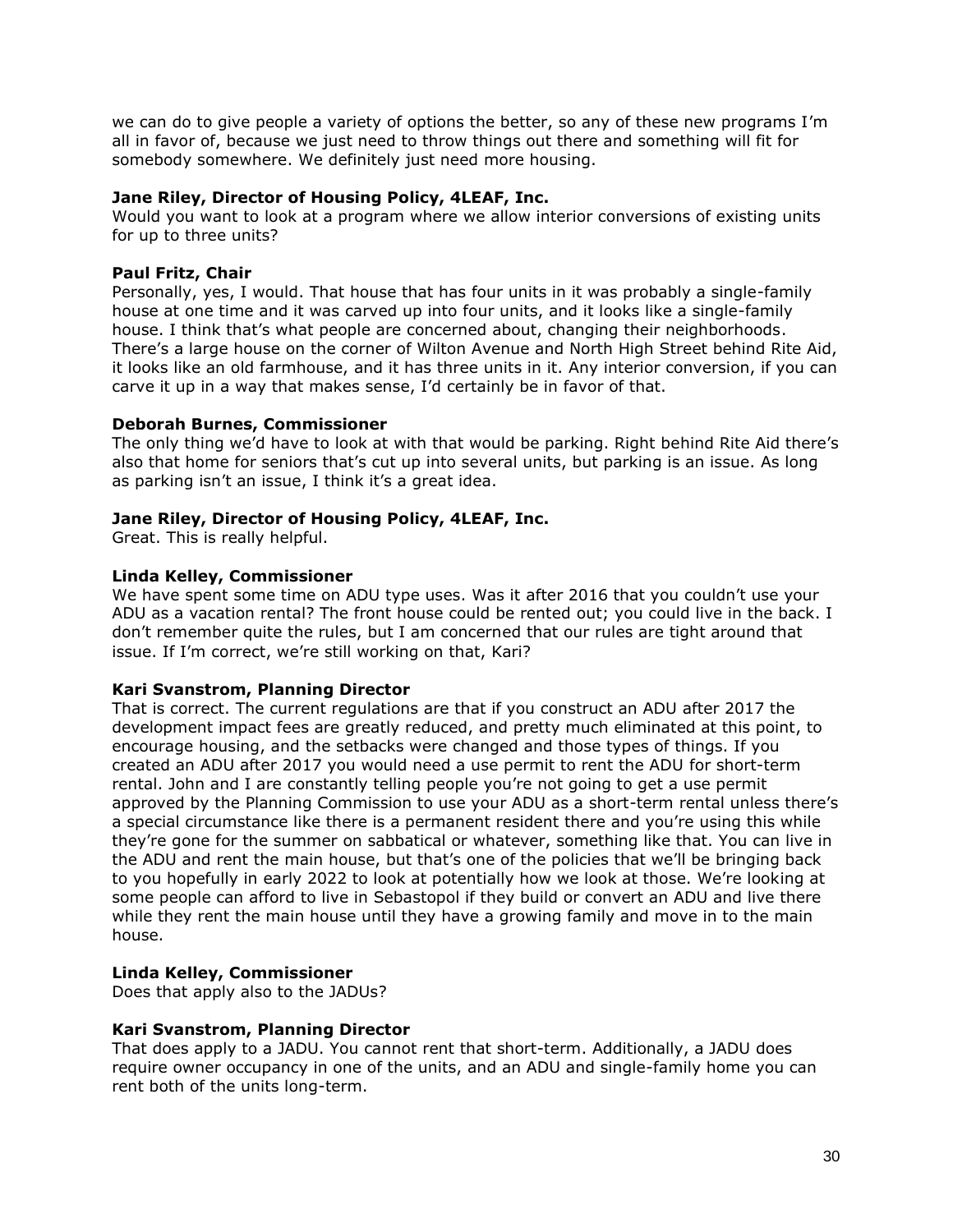we can do to give people a variety of options the better, so any of these new programs I'm all in favor of, because we just need to throw things out there and something will fit for somebody somewhere. We definitely just need more housing.

## **Jane Riley, Director of Housing Policy, 4LEAF, Inc.**

Would you want to look at a program where we allow interior conversions of existing units for up to three units?

# **Paul Fritz, Chair**

Personally, yes, I would. That house that has four units in it was probably a single-family house at one time and it was carved up into four units, and it looks like a single-family house. I think that's what people are concerned about, changing their neighborhoods. There's a large house on the corner of Wilton Avenue and North High Street behind Rite Aid, it looks like an old farmhouse, and it has three units in it. Any interior conversion, if you can carve it up in a way that makes sense, I'd certainly be in favor of that.

# **Deborah Burnes, Commissioner**

The only thing we'd have to look at with that would be parking. Right behind Rite Aid there's also that home for seniors that's cut up into several units, but parking is an issue. As long as parking isn't an issue, I think it's a great idea.

# **Jane Riley, Director of Housing Policy, 4LEAF, Inc.**

Great. This is really helpful.

# **Linda Kelley, Commissioner**

We have spent some time on ADU type uses. Was it after 2016 that you couldn't use your ADU as a vacation rental? The front house could be rented out; you could live in the back. I don't remember quite the rules, but I am concerned that our rules are tight around that issue. If I'm correct, we're still working on that, Kari?

## **Kari Svanstrom, Planning Director**

That is correct. The current regulations are that if you construct an ADU after 2017 the development impact fees are greatly reduced, and pretty much eliminated at this point, to encourage housing, and the setbacks were changed and those types of things. If you created an ADU after 2017 you would need a use permit to rent the ADU for short-term rental. John and I are constantly telling people you're not going to get a use permit approved by the Planning Commission to use your ADU as a short-term rental unless there's a special circumstance like there is a permanent resident there and you're using this while they're gone for the summer on sabbatical or whatever, something like that. You can live in the ADU and rent the main house, but that's one of the policies that we'll be bringing back to you hopefully in early 2022 to look at potentially how we look at those. We're looking at some people can afford to live in Sebastopol if they build or convert an ADU and live there while they rent the main house until they have a growing family and move in to the main house.

## **Linda Kelley, Commissioner**

Does that apply also to the JADUs?

## **Kari Svanstrom, Planning Director**

That does apply to a JADU. You cannot rent that short-term. Additionally, a JADU does require owner occupancy in one of the units, and an ADU and single-family home you can rent both of the units long-term.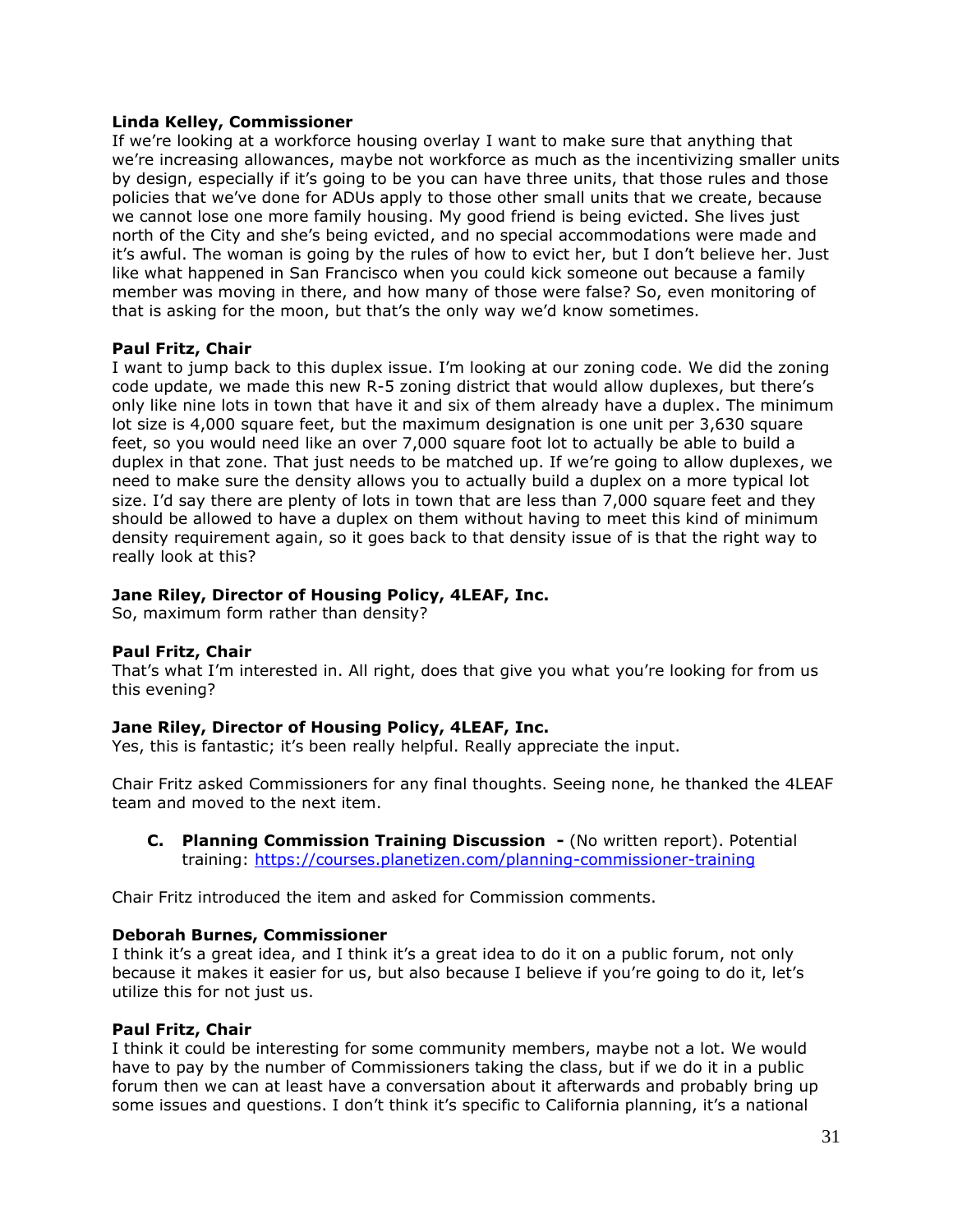# **Linda Kelley, Commissioner**

If we're looking at a workforce housing overlay I want to make sure that anything that we're increasing allowances, maybe not workforce as much as the incentivizing smaller units by design, especially if it's going to be you can have three units, that those rules and those policies that we've done for ADUs apply to those other small units that we create, because we cannot lose one more family housing. My good friend is being evicted. She lives just north of the City and she's being evicted, and no special accommodations were made and it's awful. The woman is going by the rules of how to evict her, but I don't believe her. Just like what happened in San Francisco when you could kick someone out because a family member was moving in there, and how many of those were false? So, even monitoring of that is asking for the moon, but that's the only way we'd know sometimes.

## **Paul Fritz, Chair**

I want to jump back to this duplex issue. I'm looking at our zoning code. We did the zoning code update, we made this new R-5 zoning district that would allow duplexes, but there's only like nine lots in town that have it and six of them already have a duplex. The minimum lot size is 4,000 square feet, but the maximum designation is one unit per 3,630 square feet, so you would need like an over 7,000 square foot lot to actually be able to build a duplex in that zone. That just needs to be matched up. If we're going to allow duplexes, we need to make sure the density allows you to actually build a duplex on a more typical lot size. I'd say there are plenty of lots in town that are less than 7,000 square feet and they should be allowed to have a duplex on them without having to meet this kind of minimum density requirement again, so it goes back to that density issue of is that the right way to really look at this?

# **Jane Riley, Director of Housing Policy, 4LEAF, Inc.**

So, maximum form rather than density?

## **Paul Fritz, Chair**

That's what I'm interested in. All right, does that give you what you're looking for from us this evening?

## **Jane Riley, Director of Housing Policy, 4LEAF, Inc.**

Yes, this is fantastic; it's been really helpful. Really appreciate the input.

Chair Fritz asked Commissioners for any final thoughts. Seeing none, he thanked the 4LEAF team and moved to the next item.

**C. Planning Commission Training Discussion -** (No written report). Potential training:<https://courses.planetizen.com/planning-commissioner-training>

Chair Fritz introduced the item and asked for Commission comments.

## **Deborah Burnes, Commissioner**

I think it's a great idea, and I think it's a great idea to do it on a public forum, not only because it makes it easier for us, but also because I believe if you're going to do it, let's utilize this for not just us.

## **Paul Fritz, Chair**

I think it could be interesting for some community members, maybe not a lot. We would have to pay by the number of Commissioners taking the class, but if we do it in a public forum then we can at least have a conversation about it afterwards and probably bring up some issues and questions. I don't think it's specific to California planning, it's a national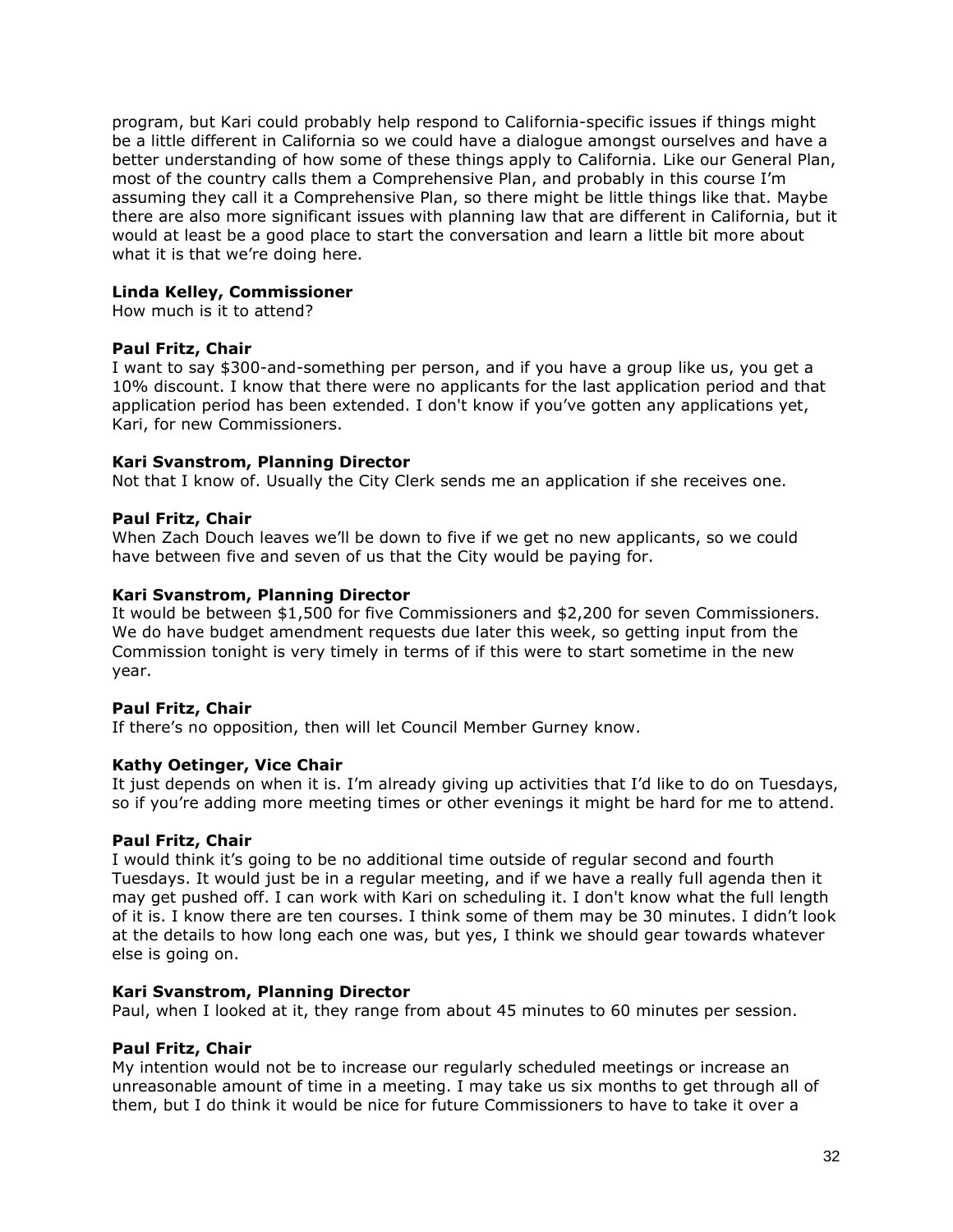program, but Kari could probably help respond to California-specific issues if things might be a little different in California so we could have a dialogue amongst ourselves and have a better understanding of how some of these things apply to California. Like our General Plan, most of the country calls them a Comprehensive Plan, and probably in this course I'm assuming they call it a Comprehensive Plan, so there might be little things like that. Maybe there are also more significant issues with planning law that are different in California, but it would at least be a good place to start the conversation and learn a little bit more about what it is that we're doing here.

## **Linda Kelley, Commissioner**

How much is it to attend?

## **Paul Fritz, Chair**

I want to say \$300-and-something per person, and if you have a group like us, you get a 10% discount. I know that there were no applicants for the last application period and that application period has been extended. I don't know if you've gotten any applications yet, Kari, for new Commissioners.

### **Kari Svanstrom, Planning Director**

Not that I know of. Usually the City Clerk sends me an application if she receives one.

### **Paul Fritz, Chair**

When Zach Douch leaves we'll be down to five if we get no new applicants, so we could have between five and seven of us that the City would be paying for.

## **Kari Svanstrom, Planning Director**

It would be between \$1,500 for five Commissioners and \$2,200 for seven Commissioners. We do have budget amendment requests due later this week, so getting input from the Commission tonight is very timely in terms of if this were to start sometime in the new year.

## **Paul Fritz, Chair**

If there's no opposition, then will let Council Member Gurney know.

## **Kathy Oetinger, Vice Chair**

It just depends on when it is. I'm already giving up activities that I'd like to do on Tuesdays, so if you're adding more meeting times or other evenings it might be hard for me to attend.

#### **Paul Fritz, Chair**

I would think it's going to be no additional time outside of regular second and fourth Tuesdays. It would just be in a regular meeting, and if we have a really full agenda then it may get pushed off. I can work with Kari on scheduling it. I don't know what the full length of it is. I know there are ten courses. I think some of them may be 30 minutes. I didn't look at the details to how long each one was, but yes, I think we should gear towards whatever else is going on.

# **Kari Svanstrom, Planning Director**

Paul, when I looked at it, they range from about 45 minutes to 60 minutes per session.

## **Paul Fritz, Chair**

My intention would not be to increase our regularly scheduled meetings or increase an unreasonable amount of time in a meeting. I may take us six months to get through all of them, but I do think it would be nice for future Commissioners to have to take it over a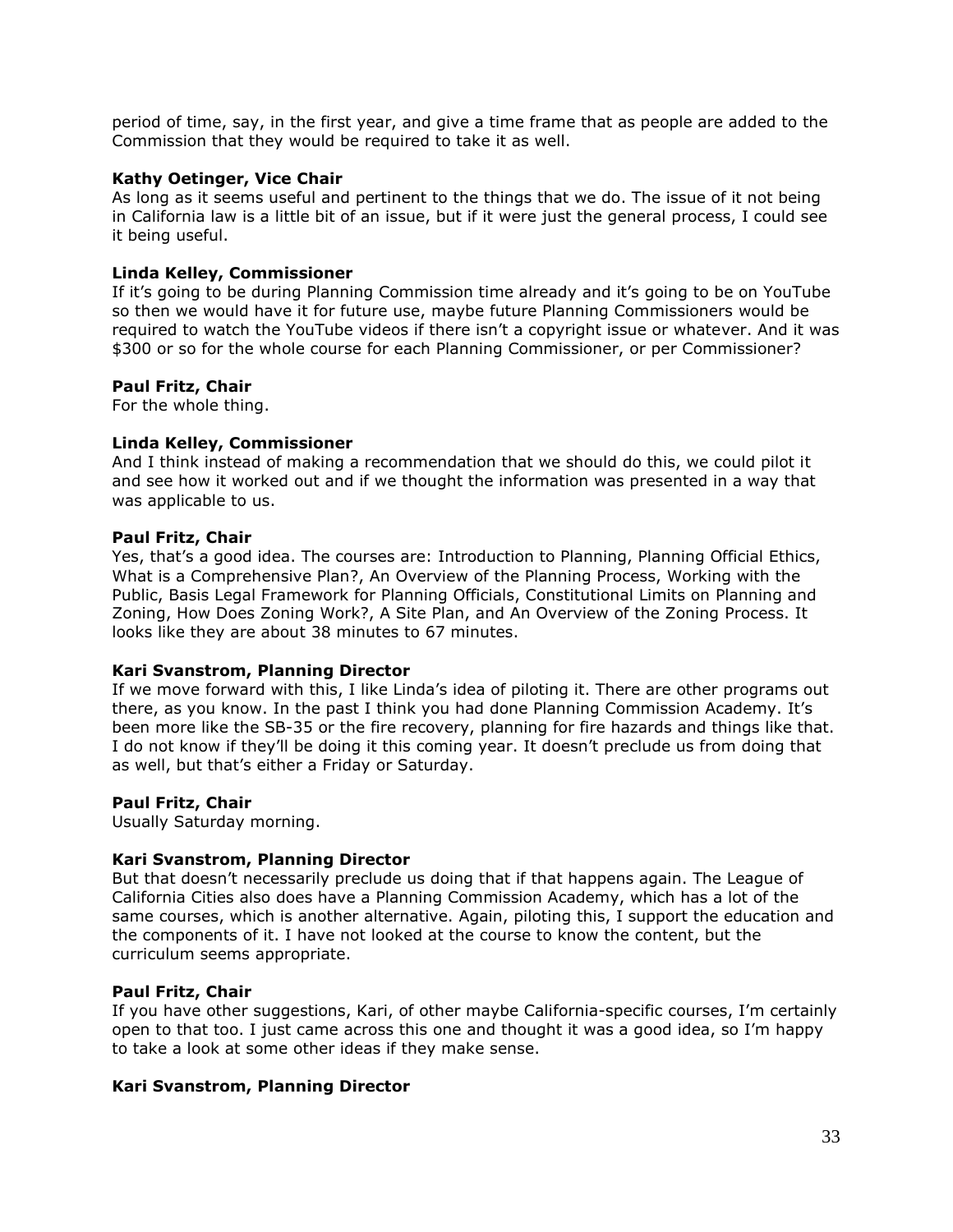period of time, say, in the first year, and give a time frame that as people are added to the Commission that they would be required to take it as well.

### **Kathy Oetinger, Vice Chair**

As long as it seems useful and pertinent to the things that we do. The issue of it not being in California law is a little bit of an issue, but if it were just the general process, I could see it being useful.

## **Linda Kelley, Commissioner**

If it's going to be during Planning Commission time already and it's going to be on YouTube so then we would have it for future use, maybe future Planning Commissioners would be required to watch the YouTube videos if there isn't a copyright issue or whatever. And it was \$300 or so for the whole course for each Planning Commissioner, or per Commissioner?

#### **Paul Fritz, Chair**

For the whole thing.

#### **Linda Kelley, Commissioner**

And I think instead of making a recommendation that we should do this, we could pilot it and see how it worked out and if we thought the information was presented in a way that was applicable to us.

#### **Paul Fritz, Chair**

Yes, that's a good idea. The courses are: Introduction to Planning, Planning Official Ethics, What is a Comprehensive Plan?, An Overview of the Planning Process, Working with the Public, Basis Legal Framework for Planning Officials, Constitutional Limits on Planning and Zoning, How Does Zoning Work?, A Site Plan, and An Overview of the Zoning Process. It looks like they are about 38 minutes to 67 minutes.

#### **Kari Svanstrom, Planning Director**

If we move forward with this, I like Linda's idea of piloting it. There are other programs out there, as you know. In the past I think you had done Planning Commission Academy. It's been more like the SB-35 or the fire recovery, planning for fire hazards and things like that. I do not know if they'll be doing it this coming year. It doesn't preclude us from doing that as well, but that's either a Friday or Saturday.

#### **Paul Fritz, Chair**

Usually Saturday morning.

#### **Kari Svanstrom, Planning Director**

But that doesn't necessarily preclude us doing that if that happens again. The League of California Cities also does have a Planning Commission Academy, which has a lot of the same courses, which is another alternative. Again, piloting this, I support the education and the components of it. I have not looked at the course to know the content, but the curriculum seems appropriate.

#### **Paul Fritz, Chair**

If you have other suggestions, Kari, of other maybe California-specific courses, I'm certainly open to that too. I just came across this one and thought it was a good idea, so I'm happy to take a look at some other ideas if they make sense.

#### **Kari Svanstrom, Planning Director**